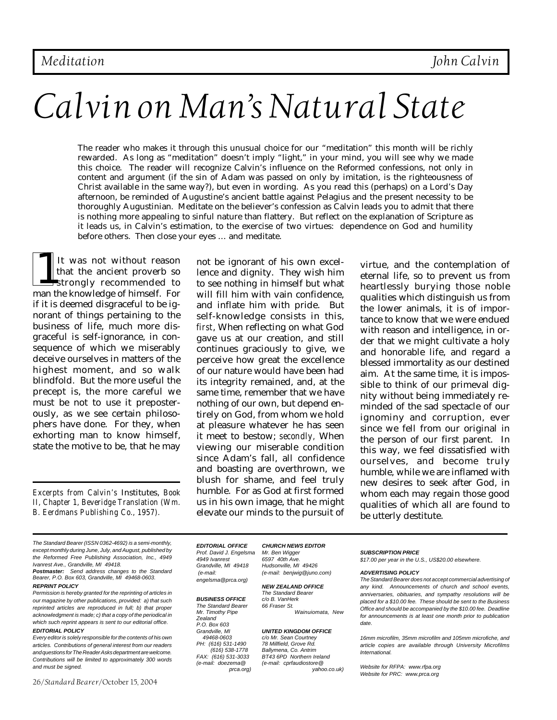## *Calvin on Man's Natural State*

The reader who makes it through this unusual choice for our "meditation" this month will be richly rewarded. As long as "meditation" doesn't imply "light," in your mind, you will see why we made this choice. The reader will recognize Calvin's influence on the Reformed confessions, not only in content and argument (if the sin of Adam was passed on only by imitation, is the righteousness of Christ available in the same way?), but even in wording. As you read this (perhaps) on a Lord's Day afternoon, be reminded of Augustine's ancient battle against Pelagius and the present necessity to be thoroughly Augustinian. Meditate on the believer's confession as Calvin leads you to admit that there is nothing more appealing to sinful nature than flattery. But reflect on the explanation of Scripture as it leads us, in Calvin's estimation, to the exercise of two virtues: dependence on God and humility before others. Then close your eyes … and meditate.

It was not without reason that the ancient proverb so If was not without reason and be ignorant of his own excel-<br>that the ancient proverb so lence and dignity. They wish him<br>strongly recommended to to see nothing in himself but what man the knowledge of himself. For if it is deemed disgraceful to be ignorant of things pertaining to the business of life, much more disgraceful is self-ignorance, in consequence of which we miserably deceive ourselves in matters of the highest moment, and so walk blindfold. But the more useful the precept is, the more careful we must be not to use it preposterously, as we see certain philosophers have done. For they, when exhorting man to know himself, state the motive to be, that he may

*Excerpts from Calvin's* Institutes, *Book II, Chapter 1, Beveridge Translation (Wm. B. Eerdmans Publishing Co., 1957).*

lence and dignity. They wish him to see nothing in himself but what will fill him with vain confidence, and inflate him with pride. But self-knowledge consists in this, *first*, When reflecting on what God gave us at our creation, and still continues graciously to give, we perceive how great the excellence of our nature would have been had its integrity remained, and, at the same time, remember that we have nothing of our own, but depend entirely on God, from whom we hold at pleasure whatever he has seen it meet to bestow; *secondly,* When viewing our miserable condition since Adam's fall, all confidence and boasting are overthrown, we blush for shame, and feel truly humble. For as God at first formed us in his own image, that he might elevate our minds to the pursuit of virtue, and the contemplation of eternal life, so to prevent us from heartlessly burying those noble qualities which distinguish us from the lower animals, it is of importance to know that we were endued with reason and intelligence, in order that we might cultivate a holy and honorable life, and regard a blessed immortality as our destined aim. At the same time, it is impossible to think of our primeval dignity without being immediately reminded of the sad spectacle of our ignominy and corruption, ever since we fell from our original in the person of our first parent. In this way, we feel dissatisfied with ourselves, and become truly humble, while we are inflamed with new desires to seek after God, in whom each may regain those good qualities of which all are found to be utterly destitute.

*The Standard Bearer (ISSN 0362-4692) is a semi-monthly, except monthly during June, July, and August, published by the Reformed Free Publishing Association, Inc., 4949 Ivanrest Ave., Grandville, MI 49418.*

*Postmaster: Send address changes to the Standard Bearer, P.O. Box 603, Grandville, MI 49468-0603. REPRINT POLICY*

*Permission is hereby granted for the reprinting of articles in our magazine by other publications, provided: a) that such reprinted articles are reproduced in full; b) that proper acknowledgment is made; c) that a copy of the periodical in which such reprint appears is sent to our editorial office.*

*EDITORIAL POLICY*

*Every editor is solely responsible for the contents of his own articles. Contributions of general interest from our readers and questions for The Reader Asks department are welcome. Contributions will be limited to approximately 300 words and must be signed.*

*Prof. David J. Engelsma Mr. Ben Wigger 4949 Ivanrest 6597 40th Ave. engelsma@prca.org)*

**BUSINESS OFFICE** *The Standard Bearer 66 Fraser St. Mr. Timothy Pipe Wainuiomata, New Zealand P.O. Box 603*

*EDITORIAL OFFICE CHURCH NEWS EDITOR Grandville, MI 49418 Hudsonville, MI 49426 (e-mail: (e-mail: benjwig@juno.com)*

> *NEW ZEALAND OFFICE The Standard Bearer*

*Grandville, MI UNITED KINGDOM OFFICE 49468-0603 c/o Mr. Sean Courtney PH: (616) 531-1490 78 Millfield, Grove Rd. (616) 538-1778 Ballymena, Co. Antrim FAX: (616) 531-3033 BT43 6PD Northern Ireland (e-mail: doezema@ (e-mail: cprfaudiostore@ prca.org) yahoo.co.uk)* *SUBSCRIPTION PRICE*

*\$17.00 per year in the U.S., US\$20.00 elsewhere.*

*ADVERTISING POLICY*

*The Standard Bearer does not accept commercial advertising of any kind. Announcements of church and school events, anniversaries, obituaries, and sympathy resolutions will be placed for a \$10.00 fee. These should be sent to the Business Office and should be accompanied by the \$10.00 fee. Deadline for announcements is at least one month prior to publication date.*

*16mm microfilm, 35mm microfilm and 105mm microfiche, and article copies are available through University Microfilms International.*

*Website for RFPA: www.rfpa.org Website for PRC: www.prca.org*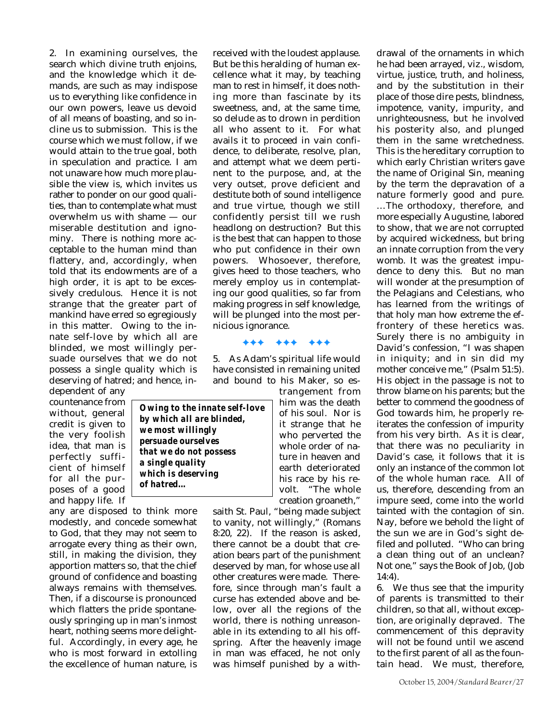2. In examining ourselves, the search which divine truth enjoins, and the knowledge which it demands, are such as may indispose us to everything like confidence in our own powers, leave us devoid of all means of boasting, and so incline us to submission. This is the course which we must follow, if we would attain to the true goal, both in speculation and practice. I am not unaware how much more plausible the view is, which invites us rather to ponder on our good qualities, than to contemplate what must overwhelm us with shame — our miserable destitution and ignominy. There is nothing more acceptable to the human mind than flattery, and, accordingly, when told that its endowments are of a high order, it is apt to be excessively credulous. Hence it is not strange that the greater part of mankind have erred so egregiously in this matter. Owing to the innate self-love by which all are blinded, we most willingly persuade ourselves that we do not possess a single quality which is deserving of hatred; and hence, in-

dependent of any countenance from without, general credit is given to the very foolish idea, that man is perfectly sufficient of himself for all the purposes of a good and happy life. If

any are disposed to think more modestly, and concede somewhat to God, that they may not seem to arrogate every thing as their own, still, in making the division, they apportion matters so, that the chief ground of confidence and boasting always remains with themselves. Then, if a discourse is pronounced which flatters the pride spontaneously springing up in man's inmost heart, nothing seems more delightful. Accordingly, in every age, he who is most forward in extolling the excellence of human nature, is

received with the loudest applause. But be this heralding of human excellence what it may, by teaching man to rest in himself, it does nothing more than fascinate by its sweetness, and, at the same time, so delude as to drown in perdition all who assent to it. For what avails it to proceed in vain confidence, to deliberate, resolve, plan, and attempt what we deem pertinent to the purpose, and, at the very outset, prove deficient and destitute both of sound intelligence and true virtue, though we still confidently persist till we rush headlong on destruction? But this is the best that can happen to those who put confidence in their own powers. Whosoever, therefore, gives heed to those teachers, who merely employ us in contemplating our good qualities, so far from making progress in self knowledge, will be plunged into the most pernicious ignorance.

5. As Adam's spiritual life would have consisted in remaining united and bound to his Maker, so es-

*Owing to the innate self-love by which all are blinded, we most willingly persuade ourselves that we do not possess*

*a single quality which is deserving*

*of hatred...*

✦✦✦ ✦✦✦ ✦✦✦

trangement from him was the death of his soul. Nor is it strange that he who perverted the whole order of nature in heaven and earth deteriorated his race by his revolt. "The whole creation groaneth,"

saith St. Paul, "being made subject to vanity, not willingly," (Romans 8:20, 22). If the reason is asked, there cannot be a doubt that creation bears part of the punishment deserved by man, for whose use all other creatures were made. Therefore, since through man's fault a curse has extended above and below, over all the regions of the world, there is nothing unreasonable in its extending to all his offspring. After the heavenly image in man was effaced, he not only was himself punished by a with-

drawal of the ornaments in which he had been arrayed, viz., wisdom, virtue, justice, truth, and holiness, and by the substitution in their place of those dire pests, blindness, impotence, vanity, impurity, and unrighteousness, but he involved his posterity also, and plunged them in the same wretchedness. This is the hereditary corruption to which early Christian writers gave the name of Original Sin, meaning by the term the depravation of a nature formerly good and pure. …The orthodoxy, therefore, and more especially Augustine, labored to show, that we are not corrupted by acquired wickedness, but bring an innate corruption from the very womb. It was the greatest impudence to deny this. But no man will wonder at the presumption of the Pelagians and Celestians, who has learned from the writings of that holy man how extreme the effrontery of these heretics was. Surely there is no ambiguity in David's confession, "I was shapen in iniquity; and in sin did my mother conceive me," (Psalm 51:5). His object in the passage is not to throw blame on his parents; but the better to commend the goodness of God towards him, he properly reiterates the confession of impurity from his very birth. As it is clear, that there was no peculiarity in David's case, it follows that it is only an instance of the common lot of the whole human race. All of us, therefore, descending from an impure seed, come into the world tainted with the contagion of sin. Nay, before we behold the light of the sun we are in God's sight defiled and polluted. "Who can bring a clean thing out of an unclean? Not one," says the Book of Job, (Job 14:4).

6. We thus see that the impurity of parents is transmitted to their children, so that all, without exception, are originally depraved. The commencement of this depravity will not be found until we ascend to the first parent of all as the fountain head. We must, therefore,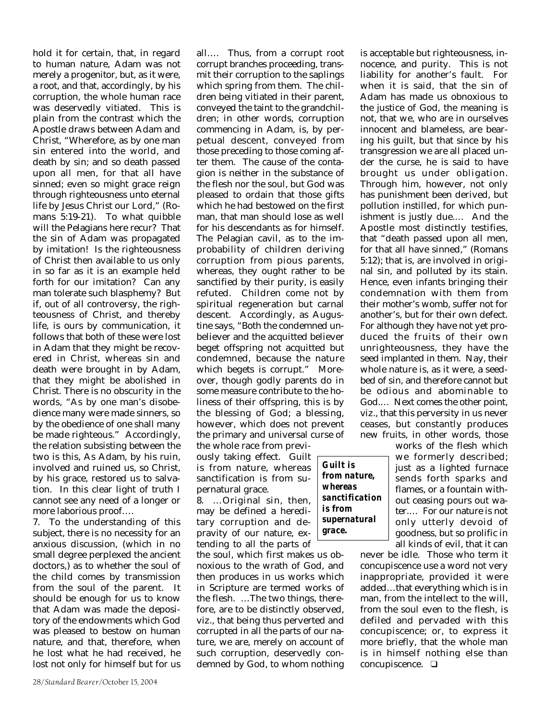hold it for certain, that, in regard to human nature, Adam was not merely a progenitor, but, as it were, a root, and that, accordingly, by his corruption, the whole human race was deservedly vitiated. This is plain from the contrast which the Apostle draws between Adam and Christ, "Wherefore, as by one man sin entered into the world, and death by sin; and so death passed upon all men, for that all have sinned; even so might grace reign through righteousness unto eternal life by Jesus Christ our Lord," (Romans 5:19-21). To what quibble will the Pelagians here recur? That the sin of Adam was propagated by imitation! Is the righteousness of Christ then available to us only in so far as it is an example held forth for our imitation? Can any man tolerate such blasphemy? But if, out of all controversy, the righteousness of Christ, and thereby life, is ours by communication, it follows that both of these were lost in Adam that they might be recovered in Christ, whereas sin and death were brought in by Adam, that they might be abolished in Christ. There is no obscurity in the words, "As by one man's disobedience many were made sinners, so by the obedience of one shall many be made righteous." Accordingly, the relation subsisting between the two is this, As Adam, by his ruin, involved and ruined us, so Christ, by his grace, restored us to salvation. In this clear light of truth I cannot see any need of a longer or more laborious proof….

7. To the understanding of this subject, there is no necessity for an anxious discussion, (which in no small degree perplexed the ancient doctors,) as to whether the soul of the child comes by transmission from the soul of the parent. It should be enough for us to know that Adam was made the depository of the endowments which God was pleased to bestow on human nature, and that, therefore, when he lost what he had received, he lost not only for himself but for us

all…. Thus, from a corrupt root corrupt branches proceeding, transmit their corruption to the saplings which spring from them. The children being vitiated in their parent, conveyed the taint to the grandchildren; in other words, corruption commencing in Adam, is, by perpetual descent, conveyed from those preceding to those coming after them. The cause of the contagion is neither in the substance of the flesh nor the soul, but God was pleased to ordain that those gifts which he had bestowed on the first man, that man should lose as well for his descendants as for himself. The Pelagian cavil, as to the improbability of children deriving corruption from pious parents, whereas, they ought rather to be sanctified by their purity, is easily refuted. Children come not by spiritual regeneration but carnal descent. Accordingly, as Augustine says, "Both the condemned unbeliever and the acquitted believer beget offspring not acquitted but condemned, because the nature which begets is corrupt." Moreover, though godly parents do in some measure contribute to the holiness of their offspring, this is by the blessing of God; a blessing, however, which does not prevent the primary and universal curse of

the whole race from previously taking effect. Guilt is from nature, whereas sanctification is from supernatural grace.

8. …Original sin, then, may be defined a hereditary corruption and depravity of our nature, extending to all the parts of

the soul, which first makes us obnoxious to the wrath of God, and then produces in us works which in Scripture are termed works of the flesh. …The two things, therefore, are to be distinctly observed, viz., that being thus perverted and corrupted in all the parts of our nature, we are, merely on account of such corruption, deservedly condemned by God, to whom nothing

is acceptable but righteousness, innocence, and purity. This is not liability for another's fault. For when it is said, that the sin of Adam has made us obnoxious to the justice of God, the meaning is not, that we, who are in ourselves innocent and blameless, are bearing his guilt, but that since by his transgression we are all placed under the curse, he is said to have brought us under obligation. Through him, however, not only has punishment been derived, but pollution instilled, for which punishment is justly due.… And the Apostle most distinctly testifies, that "death passed upon all men, for that all have sinned," (Romans 5:12); that is, are involved in original sin, and polluted by its stain. Hence, even infants bringing their condemnation with them from their mother's womb, suffer not for another's, but for their own defect. For although they have not yet produced the fruits of their own unrighteousness, they have the seed implanted in them. Nay, their whole nature is, as it were, a seedbed of sin, and therefore cannot but be odious and abominable to God.… Next comes the other point, viz., that this perversity in us never ceases, but constantly produces new fruits, in other words, those

*Guilt is from nature, whereas sanctification is from supernatural grace.*

works of the flesh which we formerly described; just as a lighted furnace sends forth sparks and flames, or a fountain without ceasing pours out water.… For our nature is not only utterly devoid of goodness, but so prolific in all kinds of evil, that it can

never be idle. Those who term it concupiscence use a word not very inappropriate, provided it were added…that everything which is in man, from the intellect to the will, from the soul even to the flesh, is defiled and pervaded with this concupiscence; or, to express it more briefly, that the whole man is in himself nothing else than concupiscence. ❑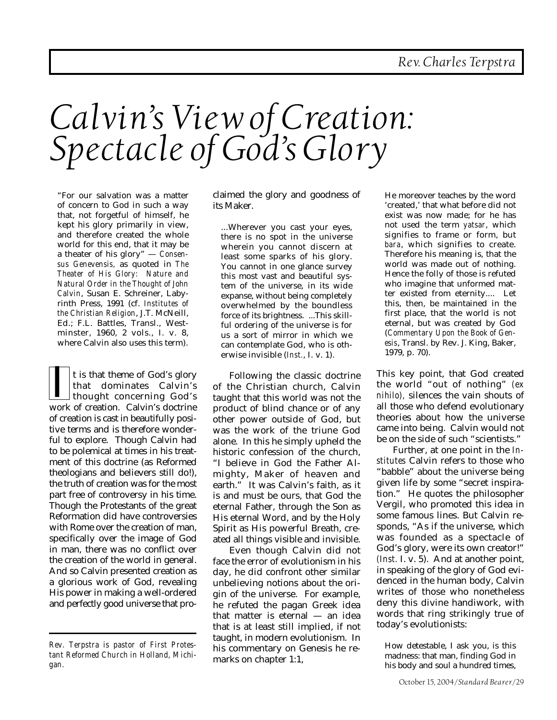## *Calvin's View of Creation: Spectacle of God's Glory*

"For our salvation was a matter of concern to God in such a way that, not forgetful of himself, he kept his glory primarily in view, and therefore created the whole world for this end, that it may be a theater of his glory" — *Consensus Genevensis,* as quoted in *The Theater of His Glory: Nature and Natural Order in the Thought of John Calvin*, Susan E. Schreiner, Labyrinth Press, 1991 (cf. *Institutes of the Christian Religion*, J.T. McNeill, Ed.; F.L. Battles, Transl., Westminster, 1960, 2 vols., I. v. 8, where Calvin also uses this term).

t is that theme of God's glory that dominates Calvin's thought concerning God's work of creation. Calvin's doctrine of creation is cast in beautifully positive terms and is therefore wonderful to explore. Though Calvin had to be polemical at times in his treatment of this doctrine (as Reformed theologians and believers still do!), the truth of creation was for the most part free of controversy in his time. Though the Protestants of the great Reformation did have controversies with Rome over the creation of man, specifically over the image of God in man, there was no conflict over the creation of the world in general. And so Calvin presented creation as a glorious work of God, revealing His power in making a well-ordered and perfectly good universe that pro-I

claimed the glory and goodness of its Maker.

...Wherever you cast your eyes, there is no spot in the universe wherein you cannot discern at least some sparks of his glory. You cannot in one glance survey this most vast and beautiful system of the universe, in its wide expanse, without being completely overwhelmed by the boundless force of its brightness. ...This skillful ordering of the universe is for us a sort of mirror in which we can contemplate God, who is otherwise invisible (*Inst.*, I. v. 1).

Following the classic doctrine of the Christian church, Calvin taught that this world was not the product of blind chance or of any other power outside of God, but was the work of the triune God alone. In this he simply upheld the historic confession of the church, "I believe in God the Father Almighty, Maker of heaven and earth." It was Calvin's faith, as it is and must be ours, that God the eternal Father, through the Son as His eternal Word, and by the Holy Spirit as His powerful Breath, created all things visible and invisible.

Even though Calvin did not face the error of evolutionism in his day, he did confront other similar unbelieving notions about the origin of the universe. For example, he refuted the pagan Greek idea that matter is eternal — an idea that is at least still implied, if not taught, in modern evolutionism. In his commentary on Genesis he remarks on chapter 1:1,

He moreover teaches by the word 'created,' that what before did not exist was now made; for he has not used the term *yatsar*, which signifies to frame or form, but *bara*, which signifies to create. Therefore his meaning is, that the world was made out of nothing. Hence the folly of those is refuted who imagine that unformed matter existed from eternity.... Let this, then, be maintained in the first place, that the world is not eternal, but was created by God (*Commentary Upon the Book of Genesis*, Transl. by Rev. J. King, Baker, 1979, p. 70).

This key point, that God created the world "out of nothing" *(ex nihilo),* silences the vain shouts of all those who defend evolutionary theories about how the universe came into being. Calvin would not be on the side of such "scientists."

Further, at one point in the *Institutes* Calvin refers to those who "babble" about the universe being given life by some "secret inspiration." He quotes the philosopher Vergil, who promoted this idea in some famous lines. But Calvin responds, "As if the universe, which was founded as a spectacle of God's glory, were its own creator!" *(Inst.* I. v. 5). And at another point, in speaking of the glory of God evidenced in the human body, Calvin writes of those who nonetheless deny this divine handiwork, with words that ring strikingly true of today's evolutionists:

How detestable, I ask you, is this madness: that man, finding God in his body and soul a hundred times,

*Rev. Terpstra is pastor of First Protestant Reformed Church in Holland, Michigan.*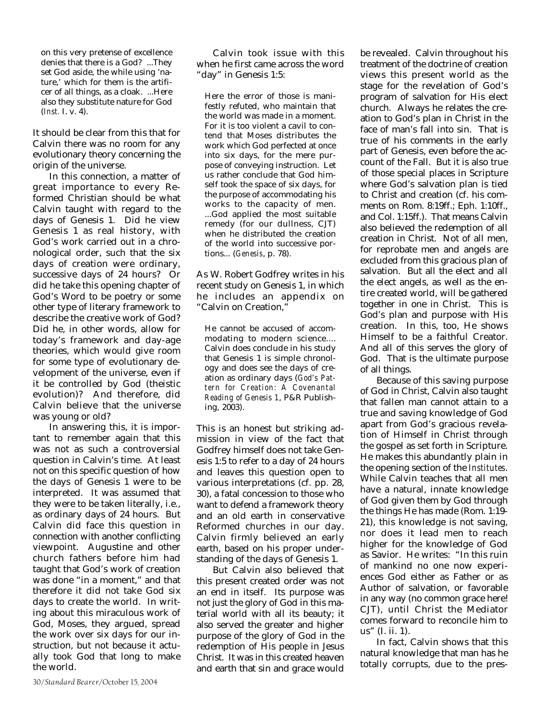on this very pretense of excellence denies that there is a God? ...They set God aside, the while using 'nature,' which for them is the artificer of all things, as a cloak. ...Here also they substitute nature for God (*Inst.* I. v. 4).

It should be clear from this that for Calvin there was no room for any evolutionary theory concerning the origin of the universe.

In this connection, a matter of great importance to every Reformed Christian should be what Calvin taught with regard to the days of Genesis 1. Did he view Genesis 1 as real history, with God's work carried out in a chronological order, such that the six days of creation were ordinary, successive days of 24 hours? Or did he take this opening chapter of God's Word to be poetry or some other type of literary framework to describe the creative work of God? Did he, in other words, allow for today's framework and day-age theories, which would give room for some type of evolutionary development of the universe, even if it be controlled by God (theistic evolution)? And therefore, did Calvin believe that the universe was young or old?

In answering this, it is important to remember again that this was not as such a controversial question in Calvin's time. At least not on this specific question of how the days of Genesis 1 were to be interpreted. It was assumed that they were to be taken literally, i.e., as ordinary days of 24 hours. But Calvin did face this question in connection with another conflicting viewpoint. Augustine and other church fathers before him had taught that God's work of creation was done "in a moment," and that therefore it did not take God six days to create the world. In writing about this miraculous work of God, Moses, they argued, spread the work over six days for our instruction, but not because it actually took God that long to make the world.

Calvin took issue with this when he first came across the word "day" in Genesis 1:5:

Here the error of those is manifestly refuted, who maintain that the world was made in a moment. For it is too violent a cavil to contend that Moses distributes the work which God perfected at once into six days, for the mere purpose of conveying instruction. Let us rather conclude that God himself took the space of six days, for the purpose of accommodating his works to the capacity of men. ...God applied the most suitable remedy (for our dullness, CJT) when he distributed the creation of the world into successive portions... (*Genesis*, p. 78).

As W. Robert Godfrey writes in his recent study on Genesis 1, in which he includes an appendix on "Calvin on Creation,"

He cannot be accused of accommodating to modern science.... Calvin does conclude in his study that Genesis 1 is simple chronology and does see the days of creation as ordinary days (*God's Pattern for Creation: A Covenantal Reading of Genesis 1*, P&R Publishing, 2003).

This is an honest but striking admission in view of the fact that Godfrey himself does not take Genesis 1:5 to refer to a day of 24 hours and leaves this question open to various interpretations (cf. pp. 28, 30), a fatal concession to those who want to defend a framework theory and an old earth in conservative Reformed churches in our day. Calvin firmly believed an early earth, based on his proper understanding of the days of Genesis 1.

But Calvin also believed that this present created order was not an end in itself. Its purpose was not just the glory of God in this material world with all its beauty; it also served the greater and higher purpose of the glory of God in the redemption of His people in Jesus Christ. It was in this created heaven and earth that sin and grace would

be revealed. Calvin throughout his treatment of the doctrine of creation views this present world as the stage for the revelation of God's program of salvation for His elect church. Always he relates the creation to God's plan in Christ in the face of man's fall into sin. That is true of his comments in the early part of Genesis, even before the account of the Fall. But it is also true of those special places in Scripture where God's salvation plan is tied to Christ and creation (cf. his comments on Rom. 8:19ff.; Eph. 1:10ff., and Col. 1:15ff.). That means Calvin also believed the redemption of all creation in Christ. Not of all men, for reprobate men and angels are excluded from this gracious plan of salvation. But all the elect and all the elect angels, as well as the entire created world, will be gathered together in one in Christ. This is God's plan and purpose with His creation. In this, too, He shows Himself to be a faithful Creator. And all of this serves the glory of God. That is the ultimate purpose of all things.

Because of this saving purpose of God in Christ, Calvin also taught that fallen man cannot attain to a true and saving knowledge of God apart from God's gracious revelation of Himself in Christ through the gospel as set forth in Scripture. He makes this abundantly plain in the opening section of the *Institutes*. While Calvin teaches that all men have a natural, innate knowledge of God given them by God through the things He has made (Rom. 1:19- 21), this knowledge is not saving, nor does it lead men to reach higher for the knowledge of God as Savior. He writes: "In this ruin of mankind no one now experiences God either as Father or as Author of salvation, or favorable in any way (no common grace here! CJT), until Christ the Mediator comes forward to reconcile him to us" (I. ii. 1).

In fact, Calvin shows that this natural knowledge that man has he totally corrupts, due to the pres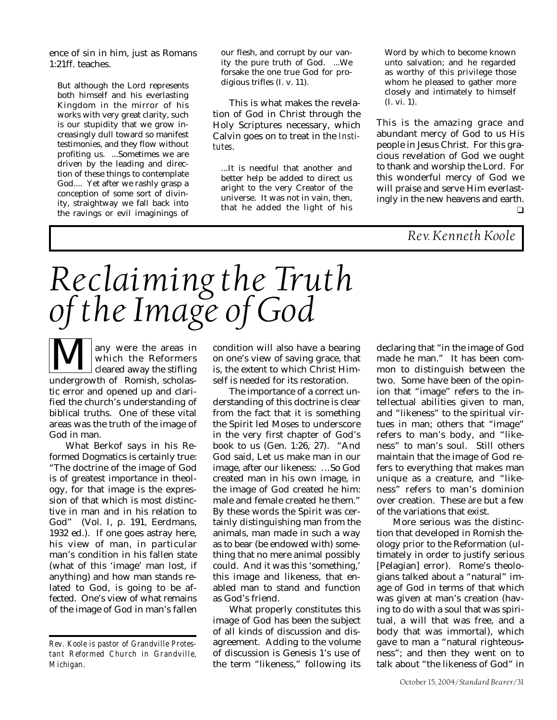ence of sin in him, just as Romans 1:21ff. teaches.

But although the Lord represents both himself and his everlasting Kingdom in the mirror of his works with very great clarity, such is our stupidity that we grow increasingly dull toward so manifest testimonies, and they flow without profiting us. ...Sometimes we are driven by the leading and direction of these things to contemplate God.... Yet after we rashly grasp a conception of some sort of divinity, straightway we fall back into the ravings or evil imaginings of our flesh, and corrupt by our vanity the pure truth of God. ...We forsake the one true God for prodigious trifles (I. v. 11).

This is what makes the revelation of God in Christ through the Holy Scriptures necessary, which Calvin goes on to treat in the *Institutes*.

...It is needful that another and better help be added to direct us aright to the very Creator of the universe. It was not in vain, then, that he added the light of his

Word by which to become known unto salvation; and he regarded as worthy of this privilege those whom he pleased to gather more closely and intimately to himself (I. vi. 1).

This is the amazing grace and abundant mercy of God to us His people in Jesus Christ. For this gracious revelation of God we ought to thank and worship the Lord. For this wonderful mercy of God we will praise and serve Him everlastingly in the new heavens and earth. ❑

*Rev. Kenneth Koole*

## *Reclaiming the Truth of the Image of God*

any were the areas in which the Reformers M any were the areas in<br>
cleared away the stifling<br>
we describe the stifling undergrowth of Romish, scholastic error and opened up and clarified the church's understanding of biblical truths. One of these vital areas was the truth of the image of God in man.

What Berkof says in his Reformed Dogmatics is certainly true: "The doctrine of the image of God is of greatest importance in theology, for that image is the expression of that which is most distinctive in man and in his relation to God" (Vol. I, p. 191, Eerdmans, 1932 ed.). If one goes astray here, his view of man, in particular man's condition in his fallen state (what of this 'image' man lost, if anything) and how man stands related to God, is going to be affected. One's view of what remains of the image of God in man's fallen

condition will also have a bearing on one's view of saving grace, that is, the extent to which Christ Himself is needed for its restoration.

The importance of a correct understanding of this doctrine is clear from the fact that it is something the Spirit led Moses to underscore in the very first chapter of God's book to us (Gen. 1:26, 27). "And God said, Let us make man in our image, after our likeness: …So God created man in his own image, in the image of God created he him: male and female created he them." By these words the Spirit was certainly distinguishing man from the animals, man made in such a way as to bear (be endowed with) something that no mere animal possibly could. And it was this 'something,' this image and likeness, that enabled man to stand and function as God's friend.

What properly constitutes this image of God has been the subject of all kinds of discussion and disagreement. Adding to the volume of discussion is Genesis 1's use of the term "likeness," following its declaring that "in the image of God made he man." It has been common to distinguish between the two. Some have been of the opinion that "image" refers to the intellectual abilities given to man, and "likeness" to the spiritual virtues in man; others that "image" refers to man's body, and "likeness" to man's soul. Still others maintain that the image of God refers to everything that makes man unique as a creature, and "likeness" refers to man's dominion over creation. These are but a few of the variations that exist.

More serious was the distinction that developed in Romish theology prior to the Reformation (ultimately in order to justify serious [Pelagian] error). Rome's theologians talked about a "natural" image of God in terms of that which was given at man's creation (having to do with a soul that was spiritual, a will that was free, and a body that was immortal), which gave to man a "natural righteousness"; and then they went on to talk about "the likeness of God" in

*Rev. Koole is pastor of Grandville Protestant Reformed Church in Grandville, Michigan.*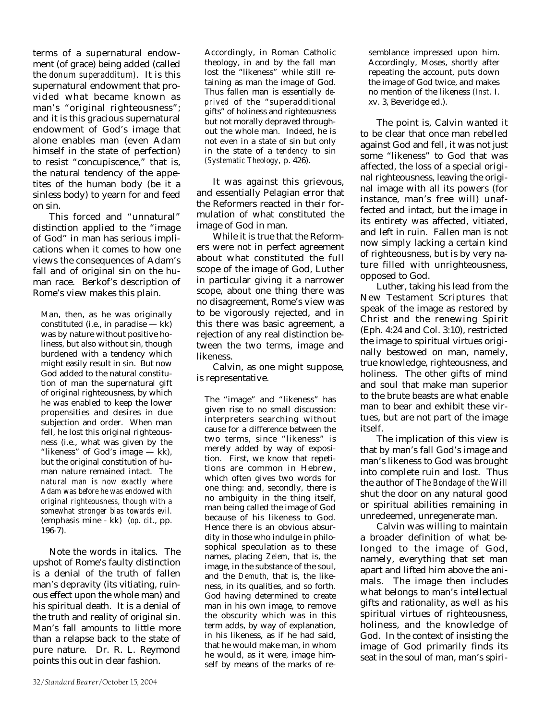terms of a supernatural endowment (of grace) being added (called the *donum superadditum).* It is this supernatural endowment that provided what became known as man's "original righteousness"; and it is this gracious supernatural endowment of God's image that alone enables man (even Adam himself in the state of perfection) to resist "concupiscence," that is, the natural tendency of the appetites of the human body (be it a sinless body) to yearn for and feed on sin.

This forced and "unnatural" distinction applied to the "image of God" in man has serious implications when it comes to how one views the consequences of Adam's fall and of original sin on the human race. Berkof's description of Rome's view makes this plain.

Man, then, as he was originally constituted (i.e., in paradise — kk) was by nature without positive holiness, but also without sin, though burdened with a tendency which might easily result in sin. But now God added to the natural constitution of man the supernatural gift of original righteousness, by which he was enabled to keep the lower propensities and desires in due subjection and order. When man fell, he lost this original righteousness (i.e., what was given by the "likeness" of God's image — kk), but the original constitution of human nature remained intact. *The natural man is now exactly where Adam was before he was endowed with original righteousness, though with a somewhat stronger bias towards evil.* (emphasis mine - kk) (*op. cit.*, pp. 196-7).

Note the words in italics. The upshot of Rome's faulty distinction is a denial of the truth of fallen man's depravity (its vitiating, ruinous effect upon the whole man) and his spiritual death. It is a denial of the truth and reality of original sin. Man's fall amounts to little more than a relapse back to the state of pure nature. Dr. R. L. Reymond points this out in clear fashion.

Accordingly, in Roman Catholic theology, in and by the fall man lost the "likeness" while still retaining as man the image of God. Thus fallen man is essentially *deprived* of the "superadditional gifts" of holiness and righteousness but not morally depraved throughout the whole man. Indeed, he is not even in a state of sin but only in the state of a *tendency* to sin *(Systematic Theology,* p. 426).

It was against this grievous, and essentially Pelagian error that the Reformers reacted in their formulation of what constituted the image of God in man.

While it is true that the Reformers were not in perfect agreement about what constituted the full scope of the image of God, Luther in particular giving it a narrower scope, about one thing there was no disagreement, Rome's view was to be vigorously rejected, and in this there was basic agreement, a rejection of any real distinction between the two terms, image and likeness.

Calvin, as one might suppose, is representative.

The "image" and "likeness" has given rise to no small discussion: interpreters searching without cause for a difference between the two terms, since "likeness" is merely added by way of exposition. First, we know that repetitions are common in Hebrew, which often gives two words for one thing: and, secondly, there is no ambiguity in the thing itself, man being called the image of God because of his likeness to God. Hence there is an obvious absurdity in those who indulge in philosophical speculation as to these names, placing *Zelem*, that is, the image, in the substance of the soul, and the *Demuth,* that is, the likeness, in its qualities, and so forth. God having determined to create man in his own image, to remove the obscurity which was in this term adds, by way of explanation, in his likeness, as if he had said, that he would make man, in whom he would, as it were, image himself by means of the marks of resemblance impressed upon him. Accordingly, Moses, shortly after repeating the account, puts down the image of God twice, and makes no mention of the likeness *(Inst*. I. xv. 3, Beveridge ed.).

The point is, Calvin wanted it to be clear that once man rebelled against God and fell, it was not just some "likeness" to God that was affected, the loss of a special original righteousness, leaving the original image with all its powers (for instance, man's free will) unaffected and intact, but the image in its entirety was affected, vitiated, and left in ruin. Fallen man is not now simply lacking a certain kind of righteousness, but is by very nature filled with unrighteousness, opposed to God.

Luther, taking his lead from the New Testament Scriptures that speak of the image as restored by Christ and the renewing Spirit (Eph. 4:24 and Col. 3:10), restricted the image to spiritual virtues originally bestowed on man, namely, true knowledge, righteousness, and holiness. The other gifts of mind and soul that make man superior to the brute beasts are what enable man to bear and exhibit these virtues, but are not part of the image itself.

The implication of this view is that by man's fall God's image and man's likeness to God was brought into complete ruin and lost. Thus the author of *The Bondage of the Will* shut the door on any natural good or spiritual abilities remaining in unredeemed, unregenerate man.

Calvin was willing to maintain a broader definition of what belonged to the image of God, namely, everything that set man apart and lifted him above the animals. The image then includes what belongs to man's intellectual gifts and rationality, as well as his spiritual virtues of righteousness, holiness, and the knowledge of God. In the context of insisting the image of God primarily finds its seat in the soul of man, man's spiri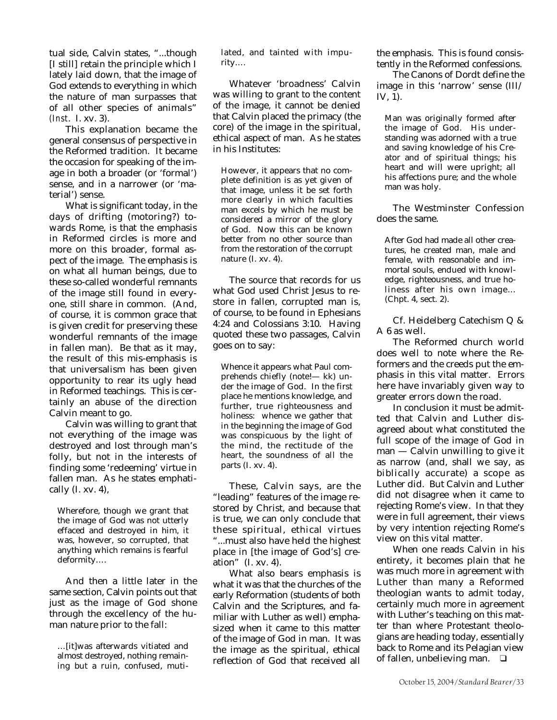tual side, Calvin states, "...though [I still] retain the principle which I lately laid down, that the image of God extends to everything in which the nature of man surpasses that of all other species of animals" *(Inst*. I. xv. 3).

This explanation became the general consensus of perspective in the Reformed tradition. It became the occasion for speaking of the image in both a broader (or 'formal') sense, and in a narrower (or 'material') sense.

What is significant today, in the days of drifting (motoring?) towards Rome, is that the emphasis in Reformed circles is more and more on this broader, formal aspect of the image. The emphasis is on what all human beings, due to these so-called wonderful remnants of the image still found in everyone, still share in common. (And, of course, it is common grace that is given credit for preserving these wonderful remnants of the image in fallen man). Be that as it may, the result of this mis-emphasis is that universalism has been given opportunity to rear its ugly head in Reformed teachings. This is certainly an abuse of the direction Calvin meant to go.

Calvin was willing to grant that not everything of the image was destroyed and lost through man's folly, but not in the interests of finding some 'redeeming' virtue in fallen man. As he states emphatically (I. xv. 4),

Wherefore, though we grant that the image of God was not utterly effaced and destroyed in him, it was, however, so corrupted, that anything which remains is fearful deformity….

And then a little later in the same section, Calvin points out that just as the image of God shone through the excellency of the human nature prior to the fall:

…[it]was afterwards vitiated and almost destroyed, nothing remaining but a ruin, confused, mutilated, and tainted with impurity….

Whatever 'broadness' Calvin was willing to grant to the content of the image, it cannot be denied that Calvin placed the primacy (the core) of the image in the spiritual, ethical aspect of man. As he states in his Institutes:

However, it appears that no complete definition is as yet given of that image, unless it be set forth more clearly in which faculties man excels by which he must be considered a mirror of the glory of God. Now this can be known better from no other source than from the restoration of the corrupt nature (I. xv. 4).

The source that records for us what God used Christ Jesus to restore in fallen, corrupted man is, of course, to be found in Ephesians 4:24 and Colossians 3:10. Having quoted these two passages, Calvin goes on to say:

Whence it appears what Paul comprehends chiefly (note!— kk) under the image of God. In the first place he mentions knowledge, and further, true righteousness and holiness: whence we gather that in the beginning the image of God was conspicuous by the light of the mind, the rectitude of the heart, the soundness of all the parts (I. xv. 4).

These, Calvin says, are the "leading" features of the image restored by Christ, and because that is true, we can only conclude that these spiritual, ethical virtues "...must also have held the highest place in [the image of God's] creation" (I. xv. 4).

What also bears emphasis is what it was that the churches of the early Reformation (students of both Calvin and the Scriptures, and familiar with Luther as well) emphasized when it came to this matter of the image of God in man. It was the image as the spiritual, ethical reflection of God that received all

the emphasis. This is found consistently in the Reformed confessions.

The Canons of Dordt define the image in this 'narrow' sense (III/ IV, 1).

Man was originally formed after the image of God. His understanding was adorned with a true and saving knowledge of his Creator and of spiritual things; his heart and will were upright; all his affections pure; and the whole man was holy.

The Westminster Confession does the same.

After God had made all other creatures, he created man, male and female, with reasonable and immortal souls, endued with knowledge, righteousness, and true holiness after his own image… (Chpt. 4, sect. 2).

Cf. Heidelberg Catechism Q & A 6 as well.

The Reformed church world does well to note where the Reformers and the creeds put the emphasis in this vital matter. Errors here have invariably given way to greater errors down the road.

In conclusion it must be admitted that Calvin and Luther disagreed about what constituted the full scope of the image of God in man — Calvin unwilling to give it as narrow (and, shall we say, as biblically accurate) a scope as Luther did. But Calvin and Luther did not disagree when it came to rejecting Rome's view. In that they were in full agreement, their views by very intention rejecting Rome's view on this vital matter.

When one reads Calvin in his entirety, it becomes plain that he was much more in agreement with Luther than many a Reformed theologian wants to admit today, certainly much more in agreement with Luther's teaching on this matter than where Protestant theologians are heading today, essentially back to Rome and its Pelagian view of fallen, unbelieving man. ❑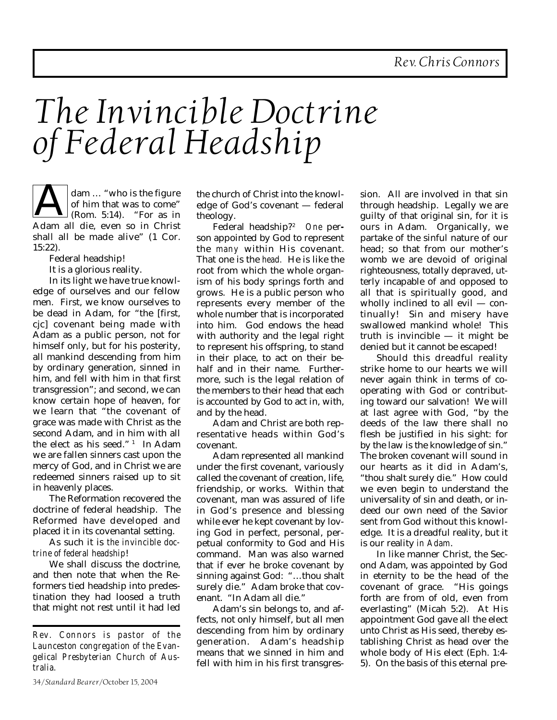## *The Invincible Doctrine of Federal Headship*

dam … "who is the figure of him that was to come"  $\triangleq$  (Rom. 5:14). "For as in Adam all die, even so in Christ shall all be made alive" (1 Cor. 15:22). A

Federal headship!

It is a glorious reality.

In its light we have true knowledge of ourselves and our fellow men. First, we know ourselves to be dead in Adam, for "the [first, cjc] covenant being made with Adam as a public person, not for himself only, but for his posterity, all mankind descending from him by ordinary generation, sinned in him, and fell with him in that first transgression"; and second, we can know certain hope of heaven, for we learn that "the covenant of grace was made with Christ as the second Adam, and in him with all the elect as his seed." $1$  In Adam we are fallen sinners cast upon the mercy of God, and in Christ we are redeemed sinners raised up to sit in heavenly places.

The Reformation recovered the doctrine of federal headship. The Reformed have developed and placed it in its covenantal setting.

As such it is *the invincible doctrine of federal headship*!

We shall discuss the doctrine, and then note that when the Reformers tied headship into predestination they had loosed a truth that might not rest until it had led the church of Christ into the knowledge of God's covenant — federal theology.

Federal headship?2 *One* person appointed by God to represent the *many* within His covenant. That one is the *head.* He is like the root from which the whole organism of his body springs forth and grows. He is a public person who represents every member of the whole number that is incorporated into him. God endows the head with authority and the legal right to represent his offspring, to stand in their place, to act on their behalf and in their name. Furthermore, such is the legal relation of the members to their head that each is accounted by God to act in, with, and by the head.

Adam and Christ are both representative heads within God's covenant.

Adam represented all mankind under the first covenant, variously called the covenant of creation, life, friendship, or works. Within that covenant, man was assured of life in God's presence and blessing while ever he kept covenant by loving God in perfect, personal, perpetual conformity to God and His command. Man was also warned that if ever he broke covenant by sinning against God: "…thou shalt surely die." Adam broke that covenant. "In Adam all die."

Adam's sin belongs to, and affects, not only himself, but all men descending from him by ordinary generation. Adam's headship means that we sinned in him and fell with him in his first transgres-

sion. All are involved in that sin through headship. Legally we are guilty of that original sin, for it is ours in Adam. Organically, we partake of the sinful nature of our head; so that from our mother's womb we are devoid of original righteousness, totally depraved, utterly incapable of and opposed to all that is spiritually good, and wholly inclined to all evil — continually! Sin and misery have swallowed mankind whole! This truth is invincible — it might be denied but it cannot be escaped!

Should this dreadful reality strike home to our hearts we will never again think in terms of cooperating with God or contributing toward our salvation! We will at last agree with God, "by the deeds of the law there shall no flesh be justified in his sight: for by the law is the knowledge of sin." The broken covenant will sound in our hearts as it did in Adam's, "thou shalt surely die." How could we even begin to understand the universality of sin and death, or indeed our own need of the Savior sent from God without this knowledge. It is a dreadful reality, but it is our reality *in Adam*.

In like manner Christ, the Second Adam, was appointed by God in eternity to be the head of the covenant of grace. "His goings forth are from of old, even from everlasting" (Micah 5:2). At His appointment God gave all the elect unto Christ as His seed, thereby establishing Christ as head over the whole body of His elect (Eph. 1:4- 5). On the basis of this eternal pre-

*Rev. Connors is pastor of the Launceston congregation of the Evangelical Presbyterian Church of Australia.*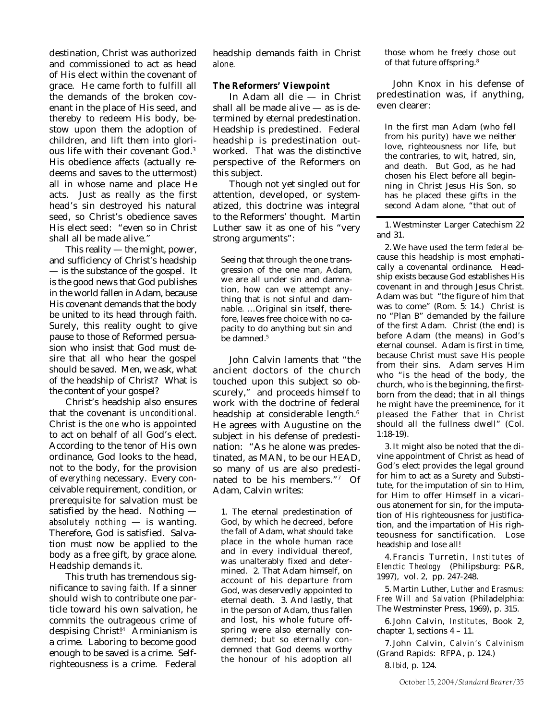destination, Christ was authorized and commissioned to act as head of His elect within the covenant of grace. He came forth to fulfill all the demands of the broken covenant in the place of His seed, and thereby to redeem His body, bestow upon them the adoption of children, and lift them into glorious life with their covenant God.3 His obedience *affects* (actually redeems and saves to the uttermost) all in whose name and place He acts. Just as really as the first head's sin destroyed his natural seed, so Christ's obedience saves His elect seed: "even so in Christ shall all be made alive."

This reality — the might, power, and sufficiency of Christ's headship — is the substance of the gospel. It is the good news that God publishes in the world fallen in Adam, because His covenant demands that the body be united to its head through faith. Surely, this reality ought to give pause to those of Reformed persuasion who insist that God must desire that all who hear the gospel should be saved. Men, we ask, what of the headship of Christ? What is the content of your gospel?

Christ's headship also ensures that the covenant is *unconditional.* Christ is the *one* who is appointed to act on behalf of all God's elect. According to the tenor of His own ordinance, God looks to the head, not to the body, for the provision of *everything* necessary. Every conceivable requirement, condition, or prerequisite for salvation must be satisfied by the head. Nothing *absolutely nothing* — is wanting. Therefore, God is satisfied. Salvation must now be applied to the body as a free gift, by grace alone. Headship demands it.

This truth has tremendous significance to *saving faith.* If a sinner should wish to contribute one particle toward his own salvation, he commits the outrageous crime of despising Christ!4 Arminianism is a crime. Laboring to become good enough to be saved is a crime. Selfrighteousness is a crime. Federal

headship demands faith in Christ *alone.*

### **The Reformers' Viewpoint**

In Adam all die — in Christ shall all be made alive — as is determined by eternal predestination. Headship is predestined. Federal headship is predestination outworked. *That* was the distinctive perspective of the Reformers on this subject.

Though not yet singled out for attention, developed, or systematized, this doctrine was integral to the Reformers' thought. Martin Luther saw it as one of his "very strong arguments":

Seeing that through the one transgression of the one man, Adam, we are all under sin and damnation, how can we attempt anything that is not sinful and damnable. …Original sin itself, therefore, leaves free choice with no capacity to do anything but sin and be damned.<sup>5</sup>

John Calvin laments that "the ancient doctors of the church touched upon this subject so obscurely," and proceeds himself to work with the doctrine of federal headship at considerable length.<sup>6</sup> He agrees with Augustine on the subject in his defense of predestination: "As he alone was predestinated, as MAN, to be our HEAD, so many of us are also predestinated to be his members."7 Of Adam, Calvin writes:

1. The eternal predestination of God, by which he decreed, before the fall of Adam, what should take place in the whole human race and in every individual thereof, was unalterably fixed and determined. 2. That Adam himself, on account of his departure from God, was deservedly appointed to eternal death. 3. And lastly, that in the person of Adam, thus fallen and lost, his whole future offspring were also eternally condemned; but so eternally condemned that God deems worthy the honour of his adoption all those whom he freely chose out of that future offspring.8

John Knox in his defense of predestination was, if anything, even clearer:

In the first man Adam (who fell from his purity) have we neither love, righteousness nor life, but the contraries, to wit, hatred, sin, and death. But God, as he had chosen his Elect before all beginning in Christ Jesus His Son, so has he placed these gifts in the second Adam alone, "that out of

1. Westminster Larger Catechism 22 and 31.

2. We have used the term *federal* because this headship is most emphatically a covenantal ordinance. Headship exists because God establishes His covenant in and through Jesus Christ. Adam was but "the figure of him that was to come" (Rom. 5: 14.) Christ is no "Plan B" demanded by the failure of the first Adam. Christ (the end) is before Adam (the means) in God's eternal counsel. Adam is first in time, because Christ must save His people from their sins. Adam serves Him who "is the head of the body, the church, who is the beginning, the firstborn from the dead; that in all things he might have the preeminence, for it pleased the Father that in Christ should all the fullness dwell" (Col. 1:18-19).

3. It might also be noted that the divine appointment of Christ as head of God's elect provides the legal ground for him to act as a Surety and Substitute, for the imputation of sin to Him, for Him to offer Himself in a vicarious atonement for sin, for the imputation of His righteousness for justification, and the impartation of His righteousness for sanctification. Lose headship and lose all!

4. Francis Turretin, *Institutes of Elenctic Theology* (Philipsburg: P&R, 1997), vol. 2, pp. 247-248.

5. Martin Luther, *Luther and Erasmus: Free Will and Salvation* (Philadelphia: The Westminster Press, 1969), p. 315.

6. John Calvin, *Institutes,* Book 2, chapter 1, sections 4 – 11.

7. John Calvin, *Calvin's Calvinism* (Grand Rapids: RFPA, p. 124.)

8. *Ibid,* p. 124.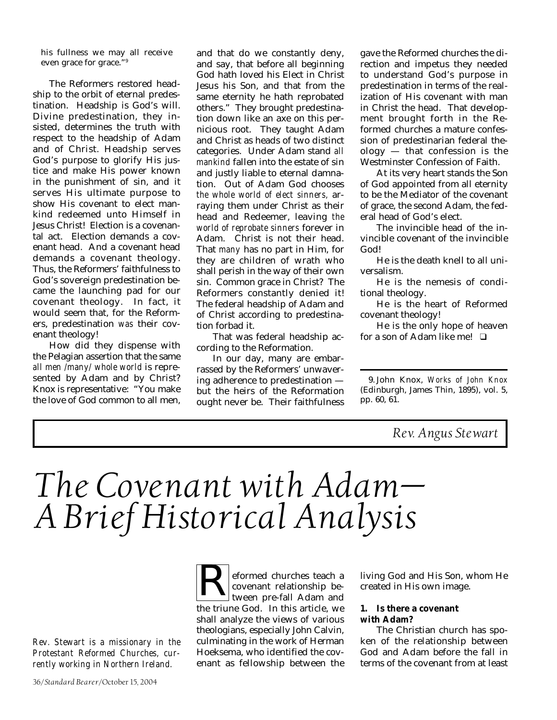his fullness we may all receive even grace for grace."

The Reformers restored headship to the orbit of eternal predestination. Headship is God's will. Divine predestination, they insisted, determines the truth with respect to the headship of Adam and of Christ. Headship serves God's purpose to glorify His justice and make His power known in the punishment of sin, and it serves His ultimate purpose to show His covenant to elect mankind redeemed unto Himself in Jesus Christ! Election is a covenantal act. Election demands a covenant head. And a covenant head demands a covenant theology. Thus, the Reformers' faithfulness to God's sovereign predestination became the launching pad for our covenant theology. In fact, it would seem that, for the Reformers, predestination *was* their covenant theology!

How did they dispense with the Pelagian assertion that the same *all men /many/ whole world* is represented by Adam and by Christ? Knox is representative: "You make the love of God common to all men,

and that do we constantly deny, and say, that before all beginning God hath loved his Elect in Christ Jesus his Son, and that from the same eternity he hath reprobated others." They brought predestination down like an axe on this pernicious root. They taught Adam and Christ as heads of two distinct categories. Under Adam stand *all mankind* fallen into the estate of sin and justly liable to eternal damnation. Out of Adam God chooses *the whole world of elect sinners,* arraying them under Christ as their head and Redeemer, leaving *the world of reprobate sinners* forever in Adam. Christ is not their head. That *many* has no part in Him, for they are children of wrath who shall perish in the way of their own sin. Common grace in Christ? The Reformers constantly denied it! The federal headship of Adam and of Christ according to predestination forbad it.

That was federal headship according to the Reformation.

In our day, many are embarrassed by the Reformers' unwavering adherence to predestination but the heirs of the Reformation ought never be. Their faithfulness

gave the Reformed churches the direction and impetus they needed to understand God's purpose in predestination in terms of the realization of His covenant with man in Christ the head. That development brought forth in the Reformed churches a mature confession of predestinarian federal theology — that confession is the Westminster Confession of Faith.

At its very heart stands the Son of God appointed from all eternity to be the Mediator of the covenant of grace, the second Adam, the federal head of God's elect.

The invincible head of the invincible covenant of the invincible God!

He is the death knell to all universalism.

He is the nemesis of conditional theology.

He is the heart of Reformed covenant theology!

He is the only hope of heaven for a son of Adam like me! ❑

## *Rev. Angus Stewart*

## *The Covenant with Adam— A Brief Historical Analysis*

*Rev. Stewart is a missionary in the Protestant Reformed Churches, currently working in Northern Ireland.*

eformed churches teach a covenant relationship between pre-fall Adam and the triune God. In this article, we shall analyze the views of various theologians, especially John Calvin, culminating in the work of Herman Hoeksema, who identified the covenant as fellowship between the R

living God and His Son, whom He created in His own image.

#### **1. Is there a covenant with Adam?**

The Christian church has spoken of the relationship between God and Adam before the fall in terms of the covenant from at least

<sup>9.</sup> John Knox, *Works of John Knox* (Edinburgh, James Thin, 1895), vol. 5, pp. 60, 61.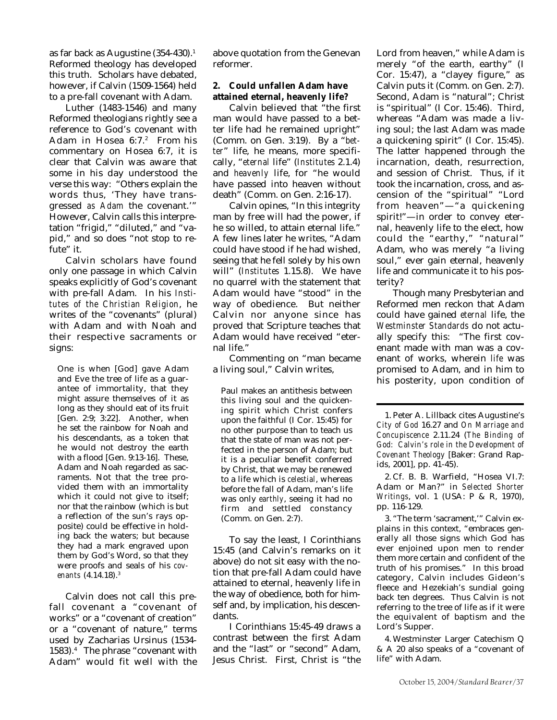as far back as Augustine  $(354-430).$ <sup>1</sup> Reformed theology has developed this truth. Scholars have debated, however, if Calvin (1509-1564) held to a pre-fall covenant with Adam.

Luther (1483-1546) and many Reformed theologians rightly see a reference to God's covenant with Adam in Hosea 6:7.<sup>2</sup> From his commentary on Hosea 6:7, it is clear that Calvin was aware that some in his day understood the verse this way: "Others explain the words thus, 'They have transgressed *as Adam* the covenant.'" However, Calvin calls this interpretation "frigid," "diluted," and "vapid," and so does "not stop to refute" it.

Calvin scholars have found only one passage in which Calvin speaks explicitly of God's covenant with pre-fall Adam. In his *Institutes of the Christian Religion*, he writes of the "covenants" (plural) with Adam and with Noah and their respective sacraments or signs:

One is when [God] gave Adam and Eve the tree of life as a guarantee of immortality, that they might assure themselves of it as long as they should eat of its fruit [Gen. 2:9; 3:22]. Another, when he set the rainbow for Noah and his descendants, as a token that he would not destroy the earth with a flood [Gen. 9:13-16]. These, Adam and Noah regarded as sacraments. Not that the tree provided them with an immortality which it could not give to itself; nor that the rainbow (which is but a reflection of the sun's rays opposite) could be effective in holding back the waters; but because they had a mark engraved upon them by God's Word, so that they were proofs and seals of his *covenants* (4.14.18).3

Calvin does not call this prefall covenant a "covenant of works" or a "covenant of creation" or a "covenant of nature," terms used by Zacharias Ursinus (1534- 1583).4 The phrase "covenant with Adam" would fit well with the

above quotation from the Genevan reformer.

### **2. Could unfallen Adam have attained eternal, heavenly life?**

Calvin believed that "the first man would have passed to a better life had he remained upright" (Comm. on Gen. 3:19). By a "*better*" life, he means, more specifically, "*eternal* life" (*Institutes* 2.1.4) and *heavenly* life, for "he would have passed into heaven without death" (Comm. on Gen. 2:16-17).

Calvin opines, "In this integrity man by free will had the power, if he so willed, to attain eternal life." A few lines later he writes, "Adam could have stood if he had wished, seeing that he fell solely by his own will" (*Institutes* 1.15.8). We have no quarrel with the statement that Adam would have "stood" in the way of obedience. But neither Calvin nor anyone since has proved that Scripture teaches that Adam would have received "eternal life."

Commenting on "man became a living soul," Calvin writes,

Paul makes an antithesis between this living soul and the quickening spirit which Christ confers upon the faithful (I Cor. 15:45) for no other purpose than to teach us that the state of man was not perfected in the person of Adam; but it is a peculiar benefit conferred by Christ, that we may be renewed to a life which is *celestial*, whereas before the fall of Adam, man's life was only *earthly*, seeing it had no firm and settled constancy (Comm. on Gen. 2:7).

To say the least, I Corinthians 15:45 (and Calvin's remarks on it above) do not sit easy with the notion that pre-fall Adam could have attained to eternal, heavenly life in the way of obedience, both for himself and, by implication, his descendants.

I Corinthians 15:45-49 draws a contrast between the first Adam and the "last" or "second" Adam, Jesus Christ. First, Christ is "the Lord from heaven," while Adam is merely "of the earth, earthy" (I Cor. 15:47), a "clayey figure," as Calvin puts it (Comm. on Gen. 2:7). Second, Adam is "natural"; Christ is "spiritual" (I Cor. 15:46). Third, whereas "Adam was made a living soul; the last Adam was made a quickening spirit" (I Cor. 15:45). The latter happened through the incarnation, death, resurrection, and session of Christ. Thus, if it took the incarnation, cross, and ascension of the "spiritual" "Lord from heaven"—"a quickening spirit!"—in order to convey eternal, heavenly life to the elect, how could the "earthy," "natural" Adam, who was merely "a living soul," ever gain eternal, heavenly life and communicate it to his posterity?

Though many Presbyterian and Reformed men reckon that Adam could have gained *eternal* life, the *Westminster Standards* do not actually specify this: "The first covenant made with man was a covenant of works, wherein *life* was promised to Adam, and in him to his posterity, upon condition of

1. Peter A. Lillback cites Augustine's *City of God* 16.27 and *On Marriage and Concupiscence* 2.11.24 (*The Binding of God: Calvin's role in the Development of Covenant Theology* [Baker: Grand Rapids, 2001], pp. 41-45).

2. Cf. B. B. Warfield, "Hosea VI.7: Adam or Man?" in *Selected Shorter Writings*, vol. 1 (USA: P & R, 1970), pp. 116-129.

3. "The term 'sacrament,'" Calvin explains in this context, "embraces generally all those signs which God has ever enjoined upon men to render them more certain and confident of the truth of his promises." In this broad category, Calvin includes Gideon's fleece and Hezekiah's sundial going back ten degrees. Thus Calvin is not referring to the tree of life as if it were the equivalent of baptism and the Lord's Supper.

4. Westminster Larger Catechism Q & A 20 also speaks of a "covenant of life" with Adam.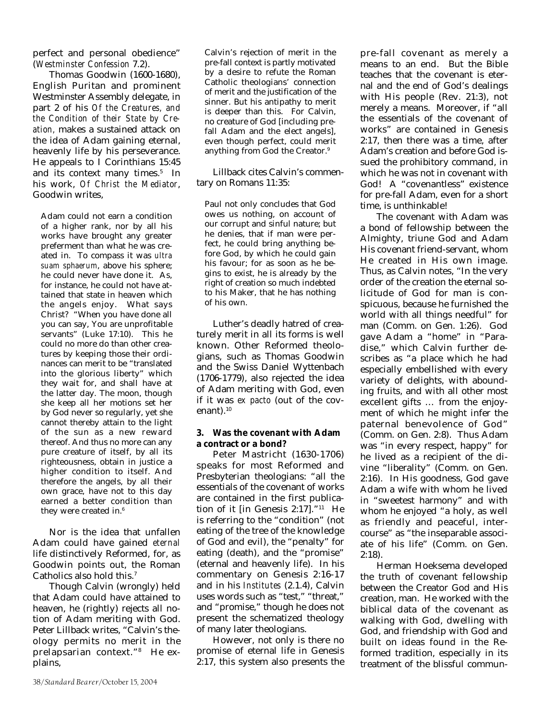perfect and personal obedience" (*Westminster Confession* 7.2).

Thomas Goodwin (1600-1680), English Puritan and prominent Westminster Assembly delegate, in part 2 of his *Of the Creatures, and the Condition of their State by Creation,* makes a sustained attack on the idea of Adam gaining eternal, heavenly life by his perseverance. He appeals to I Corinthians 15:45 and its context many times.<sup>5</sup> In his work, *Of Christ the Mediator*, Goodwin writes,

Adam could not earn a condition of a higher rank, nor by all his works have brought any greater preferment than what he was created in. To compass it was *ultra suam sphaerum*, above his sphere; he could never have done it. As, for instance, he could not have attained that state in heaven which the angels enjoy. What says Christ? "When you have done all you can say, You are unprofitable servants" (Luke 17:10). This he could no more do than other creatures by keeping those their ordinances can merit to be "translated into the glorious liberty" which they wait for, and shall have at the latter day. The moon, though she keep all her motions set her by God never so regularly, yet she cannot thereby attain to the light of the sun as a new reward thereof. And thus no more can any pure creature of itself, by all its righteousness, obtain in justice a higher condition to itself. And therefore the angels, by all their own grace, have not to this day earned a better condition than they were created in.<sup>6</sup>

Nor is the idea that unfallen Adam could have gained *eternal* life distinctively Reformed, for, as Goodwin points out, the Roman Catholics also hold this.<sup>7</sup>

Though Calvin (wrongly) held that Adam could have attained to heaven, he (rightly) rejects all notion of Adam meriting with God. Peter Lillback writes, "Calvin's theology permits no merit in the prelapsarian context."8 He explains,

Calvin's rejection of merit in the pre-fall context is partly motivated by a desire to refute the Roman Catholic theologians' connection of merit and the justification of the sinner. But his antipathy to merit is deeper than this. For Calvin, no creature of God [including prefall Adam and the elect angels], even though perfect, could merit anything from God the Creator.9

Lillback cites Calvin's commentary on Romans 11:35:

Paul not only concludes that God owes us nothing, on account of our corrupt and sinful nature; but he denies, that if man were perfect, he could bring anything before God, by which he could gain his favour; for as soon as he begins to exist, he is already by the right of creation so much indebted to his Maker, that he has nothing of his own.

Luther's deadly hatred of creaturely merit in all its forms is well known. Other Reformed theologians, such as Thomas Goodwin and the Swiss Daniel Wyttenbach (1706-1779), also rejected the idea of Adam meriting with God, even if it was *ex pacto* (out of the covenant). $10$ 

#### **3. Was the covenant with Adam a contract or a bond?**

Peter Mastricht (1630-1706) speaks for most Reformed and Presbyterian theologians: "all the essentials of the covenant of works are contained in the first publication of it  $\left[$ in Genesis 2:17]."<sup>11</sup> He is referring to the "condition" (not eating of the tree of the knowledge of God and evil), the "penalty" for eating (death), and the "promise" (eternal and heavenly life). In his commentary on Genesis 2:16-17 and in his *Institutes* (2.1.4), Calvin uses words such as "test," "threat," and "promise," though he does not present the schematized theology of many later theologians.

However, not only is there no promise of eternal life in Genesis 2:17, this system also presents the pre-fall covenant as merely a means to an end. But the Bible teaches that the covenant is eternal and the end of God's dealings with His people (Rev. 21:3), not merely a means. Moreover, if "all the essentials of the covenant of works" are contained in Genesis 2:17, then there was a time, after Adam's creation and before God issued the prohibitory command, in which he was not in covenant with God! A "covenantless" existence for pre-fall Adam, even for a short time, is unthinkable!

The covenant with Adam was a bond of fellowship between the Almighty, triune God and Adam His covenant friend-servant, whom He created in His own image. Thus, as Calvin notes, "In the very order of the creation the eternal solicitude of God for man is conspicuous, because he furnished the world with all things needful" for man (Comm. on Gen. 1:26). God gave Adam a "home" in "Paradise," which Calvin further describes as "a place which he had especially embellished with every variety of delights, with abounding fruits, and with all other most excellent gifts … from the enjoyment of which he might infer the paternal benevolence of God" (Comm. on Gen. 2:8). Thus Adam was "in every respect, happy" for he lived as a recipient of the divine "liberality" (Comm. on Gen. 2:16). In His goodness, God gave Adam a wife with whom he lived in "sweetest harmony" and with whom he enjoyed "a holy, as well as friendly and peaceful, intercourse" as "the inseparable associate of his life" (Comm. on Gen. 2:18).

Herman Hoeksema developed the truth of covenant fellowship between the Creator God and His creation, man. He worked with the biblical data of the covenant as walking with God, dwelling with God, and friendship with God and built on ideas found in the Reformed tradition, especially in its treatment of the blissful commun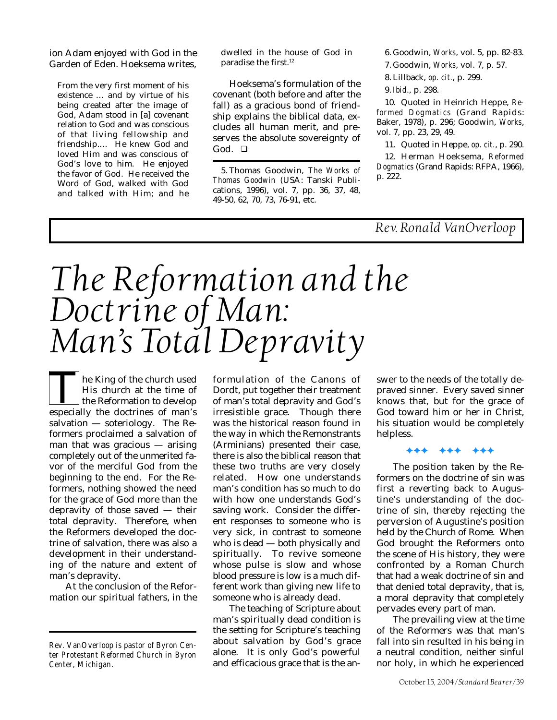ion Adam enjoyed with God in the Garden of Eden. Hoeksema writes,

From the very first moment of his existence … and by virtue of his being created after the image of God, Adam stood in [a] covenant relation to God and was conscious of that living fellowship and friendship.… He knew God and loved Him and was conscious of God's love to him. He enjoyed the favor of God. He received the Word of God, walked with God and talked with Him; and he dwelled in the house of God in paradise the first.<sup>12</sup>

Hoeksema's formulation of the covenant (both before and after the fall) as a gracious bond of friendship explains the biblical data, excludes all human merit, and preserves the absolute sovereignty of God. ❑

5. Thomas Goodwin, *The Works of Thomas Goodwin* (USA: Tanski Publications, 1996), vol. 7, pp. 36, 37, 48, 49-50, 62, 70, 73, 76-91, etc.

6. Goodwin, *Works*, vol. 5, pp. 82-83.

7. Goodwin, *Works*, vol. 7, p. 57.

8. Lillback, *op. cit.*, p. 299.

9. *Ibid*., p. 298.

10. Quoted in Heinrich Heppe, *Reformed Dogmatics* (Grand Rapids: Baker, 1978), p. 296; Goodwin, *Works*, vol. 7, pp. 23, 29, 49.

11. Quoted in Heppe, *op. cit.*, p. 290.

12. Herman Hoeksema, *Reformed Dogmatics* (Grand Rapids: RFPA, 1966), p. 222.

## *Rev. Ronald VanOverloop*

## *The Reformation and the Doctrine of Man: Man's Total Depravity*

he King of the church used His church at the time of I the Reformation to develop The King of the church used<br>His church at the time of<br>the Reformation to develop<br>especially the doctrines of man's salvation — soteriology. The Reformers proclaimed a salvation of man that was gracious — arising completely out of the unmerited favor of the merciful God from the beginning to the end. For the Reformers, nothing showed the need for the grace of God more than the depravity of those saved — their total depravity. Therefore, when the Reformers developed the doctrine of salvation, there was also a development in their understanding of the nature and extent of man's depravity.

At the conclusion of the Reformation our spiritual fathers, in the

formulation of the Canons of Dordt, put together their treatment of man's total depravity and God's irresistible grace. Though there was the historical reason found in the way in which the Remonstrants (Arminians) presented their case, there is also the biblical reason that these two truths are very closely related. How one understands man's condition has so much to do with how one understands God's saving work. Consider the different responses to someone who is very sick, in contrast to someone who is dead — both physically and spiritually. To revive someone whose pulse is slow and whose blood pressure is low is a much different work than giving new life to someone who is already dead.

The teaching of Scripture about man's spiritually dead condition is the setting for Scripture's teaching about salvation by God's grace alone. It is only God's powerful and efficacious grace that is the an-

swer to the needs of the totally depraved sinner. Every saved sinner knows that, but for the grace of God toward him or her in Christ, his situation would be completely helpless.

✦✦✦ ✦✦✦ ✦✦✦

The position taken by the Reformers on the doctrine of sin was first a reverting back to Augustine's understanding of the doctrine of sin, thereby rejecting the perversion of Augustine's position held by the Church of Rome. When God brought the Reformers onto the scene of His history, they were confronted by a Roman Church that had a weak doctrine of sin and that denied total depravity, that is, a moral depravity that completely pervades every part of man.

The prevailing view at the time of the Reformers was that man's fall into sin resulted in his being in a neutral condition, neither sinful nor holy, in which he experienced

*Rev. VanOverloop is pastor of Byron Center Protestant Reformed Church in Byron Center, Michigan.*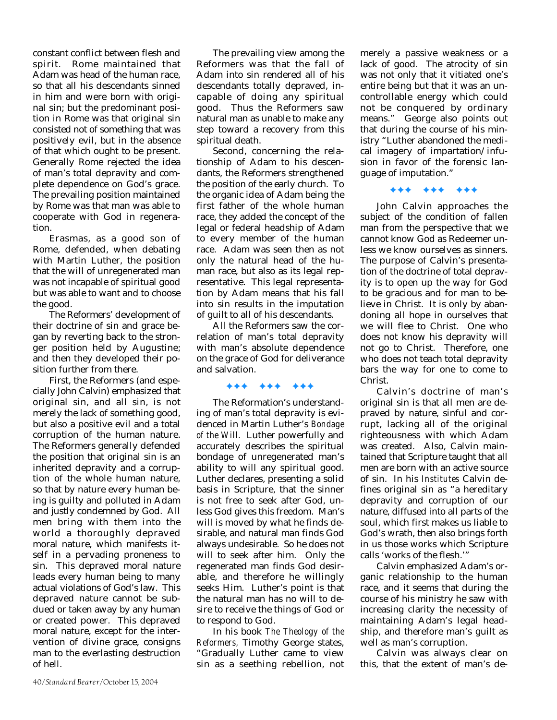constant conflict between flesh and spirit. Rome maintained that Adam was head of the human race, so that all his descendants sinned in him and were born with original sin; but the predominant position in Rome was that original sin consisted not of something that was positively evil, but in the absence of that which ought to be present. Generally Rome rejected the idea of man's total depravity and complete dependence on God's grace. The prevailing position maintained by Rome was that man was able to cooperate with God in regeneration.

Erasmas, as a good son of Rome, defended, when debating with Martin Luther, the position that the will of unregenerated man was not incapable of spiritual good but was able to want and to choose the good.

The Reformers' development of their doctrine of sin and grace began by reverting back to the stronger position held by Augustine; and then they developed their position further from there.

First, the Reformers (and especially John Calvin) emphasized that original sin, and all sin, is not merely the lack of something good, but also a positive evil and a total corruption of the human nature. The Reformers generally defended the position that original sin is an inherited depravity and a corruption of the whole human nature, so that by nature every human being is guilty and polluted in Adam and justly condemned by God. All men bring with them into the world a thoroughly depraved moral nature, which manifests itself in a pervading proneness to sin. This depraved moral nature leads every human being to many actual violations of God's law. This depraved nature cannot be subdued or taken away by any human or created power. This depraved moral nature, except for the intervention of divine grace, consigns man to the everlasting destruction of hell.

The prevailing view among the Reformers was that the fall of Adam into sin rendered all of his descendants totally depraved, incapable of doing any spiritual good. Thus the Reformers saw natural man as unable to make any step toward a recovery from this spiritual death.

Second, concerning the relationship of Adam to his descendants, the Reformers strengthened the position of the early church. To the organic idea of Adam being the first father of the whole human race, they added the concept of the legal or federal headship of Adam to every member of the human race. Adam was seen then as not only the natural head of the human race, but also as its legal representative. This legal representation by Adam means that his fall into sin results in the imputation of guilt to all of his descendants.

All the Reformers saw the correlation of man's total depravity with man's absolute dependence on the grace of God for deliverance and salvation.

#### ✦✦✦ ✦✦✦ ✦✦✦

The Reformation's understanding of man's total depravity is evidenced in Martin Luther's *Bondage of the Will.* Luther powerfully and accurately describes the spiritual bondage of unregenerated man's ability to will any spiritual good. Luther declares, presenting a solid basis in Scripture, that the sinner is not free to seek after God, unless God gives this freedom. Man's will is moved by what he finds desirable, and natural man finds God always undesirable. So he does not will to seek after him. Only the regenerated man finds God desirable, and therefore he willingly seeks Him. Luther's point is that the natural man has no will to desire to receive the things of God or to respond to God.

In his book *The Theology of the Reformers,* Timothy George states, "Gradually Luther came to view sin as a seething rebellion, not

merely a passive weakness or a lack of good. The atrocity of sin was not only that it vitiated one's entire being but that it was an uncontrollable energy which could not be conquered by ordinary means." George also points out that during the course of his ministry "Luther abandoned the medical imagery of impartation/infusion in favor of the forensic language of imputation."

#### ✦✦✦ ✦✦✦ ✦✦✦

John Calvin approaches the subject of the condition of fallen man from the perspective that we cannot know God as Redeemer unless we know ourselves as sinners. The purpose of Calvin's presentation of the doctrine of total depravity is to open up the way for God to be gracious and for man to believe in Christ. It is only by abandoning all hope in ourselves that we will flee to Christ. One who does not know his depravity will not go to Christ. Therefore, one who does not teach total depravity bars the way for one to come to Christ.

Calvin's doctrine of man's original sin is that all men are depraved by nature, sinful and corrupt, lacking all of the original righteousness with which Adam was created. Also, Calvin maintained that Scripture taught that all men are born with an active source of sin. In his *Institutes* Calvin defines original sin as "a hereditary depravity and corruption of our nature, diffused into all parts of the soul, which first makes us liable to God's wrath, then also brings forth in us those works which Scripture calls 'works of the flesh.'"

Calvin emphasized Adam's organic relationship to the human race, and it seems that during the course of his ministry he saw with increasing clarity the necessity of maintaining Adam's legal headship, and therefore man's guilt as well as man's corruption.

Calvin was always clear on this, that the extent of man's de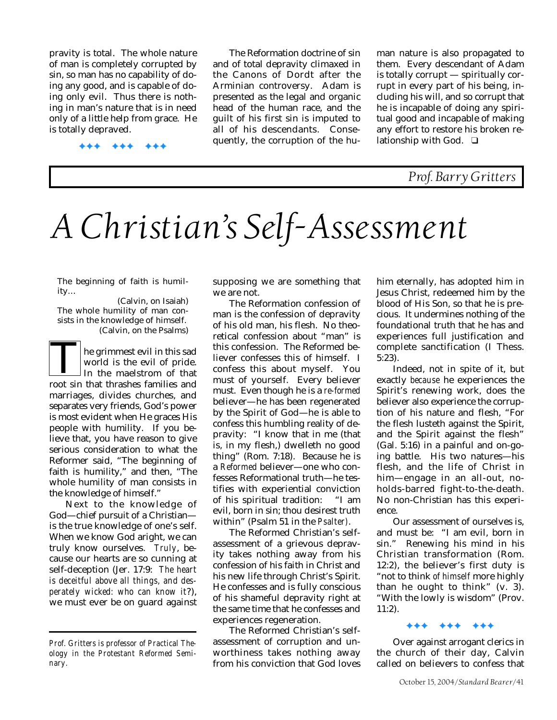pravity is total. The whole nature of man is completely corrupted by sin, so man has no capability of doing any good, and is capable of doing only evil. Thus there is nothing in man's nature that is in need only of a little help from grace. He is totally depraved.

✦✦✦ ✦✦✦ ✦✦✦

The Reformation doctrine of sin and of total depravity climaxed in the Canons of Dordt after the Arminian controversy. Adam is presented as the legal and organic head of the human race, and the guilt of his first sin is imputed to all of his descendants. Consequently, the corruption of the human nature is also propagated to them. Every descendant of Adam is totally corrupt — spiritually corrupt in every part of his being, including his will, and so corrupt that he is incapable of doing any spiritual good and incapable of making any effort to restore his broken relationship with God. ❑

### *Prof. Barry Gritters*

## *A Christian's Self-Assessment*

The beginning of faith is humility…

 (Calvin, on Isaiah) The whole humility of man consists in the knowledge of himself. (Calvin, on the Psalms)

he grimmest evil in this sad world is the evil of pride. In the maelstrom of that root sin that thrashes families and marriages, divides churches, and separates very friends, God's power is most evident when He graces His people with humility. If you believe that, you have reason to give serious consideration to what the Reformer said, "The beginning of faith is humility," and then, "The whole humility of man consists in the knowledge of himself." T

Next to the knowledge of God—chief pursuit of a Christian is the true knowledge of one's self. When we know God aright, we can truly know ourselves. *Truly*, because our hearts are so cunning at self-deception (Jer. 17:9: *The heart is deceitful above all things, and desperately wicked: who can know it*?), we must ever be on guard against

supposing we are something that we are not.

The Reformation confession of man is the confession of depravity of his old man, his flesh. No theoretical confession about "man" is this confession. The Reformed believer confesses this of himself. I confess this about myself. You must of yourself. Every believer must. Even though he is a *re-formed* believer—he has been regenerated by the Spirit of God—he is able to confess this humbling reality of depravity: "I know that in me (that is, in my flesh,) dwelleth no good thing" (Rom. 7:18). Because he is a *Reformed* believer—one who confesses Reformational truth—he testifies with experiential conviction of his spiritual tradition: "I am evil, born in sin; thou desirest truth within" (Psalm 51 in the *Psalter)*.

The Reformed Christian's selfassessment of a grievous depravity takes nothing away from his confession of his faith in Christ and his new life through Christ's Spirit. He confesses and is fully conscious of his shameful depravity right at the same time that he confesses and experiences regeneration.

The Reformed Christian's selfassessment of corruption and unworthiness takes nothing away from his conviction that God loves him eternally, has adopted him in Jesus Christ, redeemed him by the blood of His Son, so that he is precious. It undermines nothing of the foundational truth that he has and experiences full justification and complete sanctification (I Thess. 5:23).

Indeed, not in spite of it, but exactly *because* he experiences the Spirit's renewing work, does the believer also experience the corruption of his nature and flesh, "For the flesh lusteth against the Spirit, and the Spirit against the flesh" (Gal. 5:16) in a painful and on-going battle. His two natures—his flesh, and the life of Christ in him—engage in an all-out, noholds-barred fight-to-the-death. No non-Christian has this experience.

Our assessment of ourselves is, and must be: "I am evil, born in sin." Renewing his mind in his Christian transformation (Rom. 12:2), the believer's first duty is "not to think *of himself* more highly than he ought to think" (v. 3). "With the lowly is wisdom" (Prov. 11:2).

#### ✦✦✦ ✦✦✦ ✦✦✦

Over against arrogant clerics in the church of their day, Calvin called on believers to confess that

*Prof. Gritters is professor of Practical Theology in the Protestant Reformed Seminary.*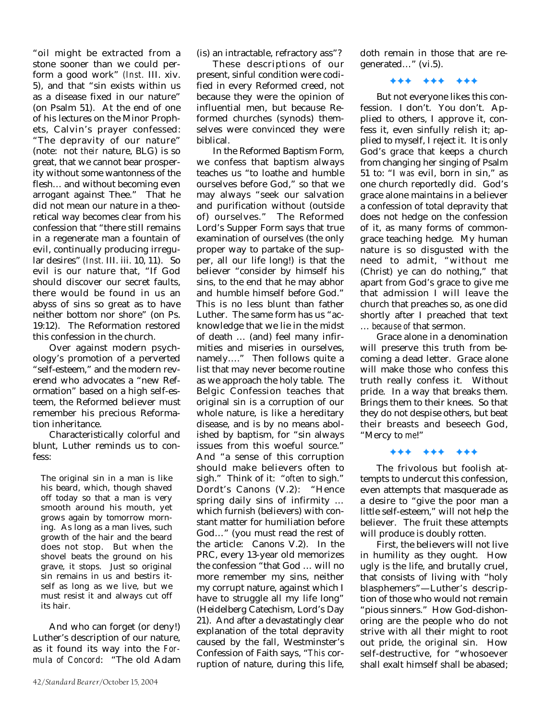"oil might be extracted from a stone sooner than we could perform a good work" *(Inst.* III. xiv. 5), and that "sin exists within us as a disease fixed in our nature" (on Psalm 51). At the end of one of his lectures on the Minor Prophets, Calvin's prayer confessed: "The depravity of our nature" (note: not *their* nature, BLG) is so great, that we cannot bear prosperity without some wantonness of the flesh… and without becoming even arrogant against Thee." That he did not mean our nature in a theoretical way becomes clear from his confession that "there still remains in a regenerate man a fountain of evil, continually producing irregular desires" *(Inst.* III. iii. 10, 11). So evil is our nature that, "If God should discover our secret faults, there would be found in us an abyss of sins so great as to have neither bottom nor shore" (on Ps. 19:12). The Reformation restored this confession in the church.

Over against modern psychology's promotion of a perverted "self-esteem," and the modern reverend who advocates a "new Reformation" based on a high self-esteem, the Reformed believer must remember his precious Reformation inheritance.

Characteristically colorful and blunt, Luther reminds us to confess:

The original sin in a man is like his beard, which, though shaved off today so that a man is very smooth around his mouth, yet grows again by tomorrow morning. As long as a man lives, such growth of the hair and the beard does not stop. But when the shovel beats the ground on his grave, it stops. Just so original sin remains in us and bestirs itself as long as we live, but we must resist it and always cut off its hair.

And who can forget (or deny!) Luther's description of our nature, as it found its way into the *Formula of Concord*: "The old Adam

(is) an intractable, refractory ass"?

These descriptions of our present, sinful condition were codified in every Reformed creed, not because they were the opinion of influential men, but because Reformed churches (synods) themselves were convinced they were biblical.

In the Reformed Baptism Form, we confess that baptism always teaches us "to loathe and humble ourselves before God," so that we may always "seek our salvation and purification without (outside of) ourselves." The Reformed Lord's Supper Form says that true examination of ourselves (the only proper way to partake of the supper, all our life long!) is that the believer "consider by himself his sins, to the end that he may abhor and humble himself before God." This is no less blunt than father Luther. The same form has us "acknowledge that we lie in the midst of death … (and) feel many infirmities and miseries in ourselves, namely…." Then follows quite a list that may never become routine as we approach the holy table. The Belgic Confession teaches that original sin is a corruption of our whole nature, is like a hereditary disease, and is by no means abolished by baptism, for "sin always issues from this woeful source." And "a sense of this corruption should make believers often to sigh." Think of it: "*often* to sigh." Dordt's Canons (V.2): "Hence spring daily sins of infirmity … which furnish (believers) with constant matter for humiliation before God…" (you must read the rest of the article: Canons V.2). In the PRC, every 13-year old memorizes the confession "that God … will no more remember my sins, neither my corrupt nature, against which I have to struggle all my life long" (Heidelberg Catechism, Lord's Day 21). And after a devastatingly clear explanation of the total depravity caused by the fall, Westminster's Confession of Faith says, "*This* corruption of nature, during this life, doth remain in those that are regenerated…" (vi.5).

✦✦✦ ✦✦✦ ✦✦✦

But not everyone likes this confession. I don't. You don't. Applied to others, I approve it, confess it, even sinfully relish it; applied to myself, I reject it. It is only God's grace that keeps a church from changing her singing of Psalm 51 to: "I *was* evil, born in sin," as one church reportedly did. God's grace alone maintains in a believer a confession of total depravity that does not hedge on the confession of it, as many forms of commongrace teaching hedge. My human nature is so disgusted with the need to admit, "without me (Christ) ye can do nothing," that apart from God's grace to give me that admission I will leave the church that preaches so, as one did shortly after I preached that text … *because of* that sermon.

Grace alone in a denomination will preserve this truth from becoming a dead letter. Grace alone will make those who confess this truth really confess it. Without pride. In a way that breaks them. Brings them to their knees. So that they do not despise others, but beat their breasts and beseech God, "Mercy to *me*!"

#### ✦✦✦ ✦✦✦ ✦✦✦

The frivolous but foolish attempts to undercut this confession, even attempts that masquerade as a desire to "give the poor man a little self-esteem," will not help the believer. The fruit these attempts will produce is doubly rotten.

First, the believers will not live in humility as they ought. How ugly is the life, and brutally cruel, that consists of living with "holy blasphemers"—Luther's description of those who would not remain "pious sinners." How God-dishonoring are the people who do not strive with all their might to root out pride, *the* original sin. How self-destructive, for "whosoever shall exalt himself shall be abased;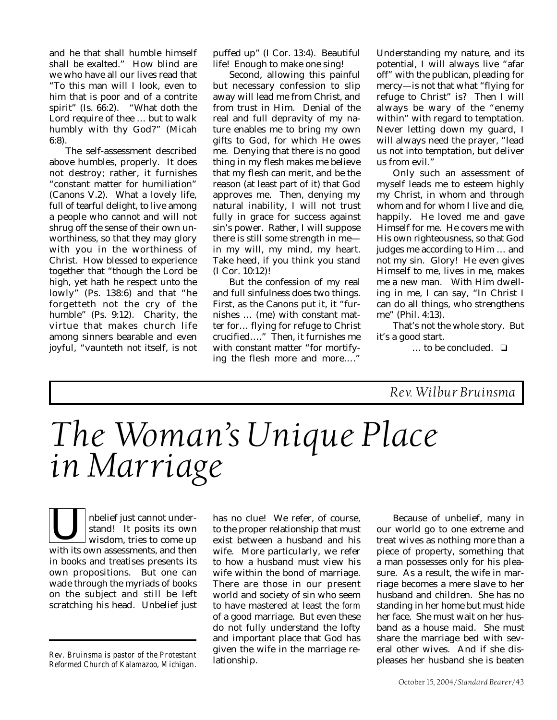and he that shall humble himself shall be exalted." How blind are we who have all our lives read that "To this man will I look, even to him that is poor and of a contrite spirit" (Is. 66:2). "What doth the Lord require of thee … but to walk humbly with thy God?" (Micah 6:8).

The self-assessment described above humbles, properly. It does not destroy; rather, it furnishes "constant matter for humiliation" (Canons V.2). What a lovely life, full of tearful delight, to live among a people who cannot and will not shrug off the sense of their own unworthiness, so that they may glory with you in the worthiness of Christ. How blessed to experience together that "though the Lord be high, yet hath he respect unto the lowly" (Ps. 138:6) and that "he forgetteth not the cry of the humble" (Ps. 9:12). Charity, the virtue that makes church life among sinners bearable and even joyful, "vaunteth not itself, is not

puffed up" (I Cor. 13:4). Beautiful life! Enough to make one sing!

Second, allowing this painful but necessary confession to slip away will lead me from Christ, and from trust in Him. Denial of the real and full depravity of my nature enables me to bring my own gifts to God, for which He owes me. Denying that there is no good thing in my flesh makes me believe that my flesh can merit, and be the reason (at least part of it) that God approves me. Then, denying my natural inability, I will not trust fully in grace for success against sin's power. Rather, I will suppose there is still some strength in me in my will, my mind, my heart. Take heed, if you think you stand (I Cor. 10:12)!

But the confession of my real and full sinfulness does two things. First, as the Canons put it, it "furnishes … (me) with constant matter for… flying for refuge to Christ crucified…." Then, it furnishes me with constant matter "for mortifying the flesh more and more…."

Understanding my nature, and its potential, I will always live "afar off" with the publican, pleading for mercy—is not that what "flying for refuge to Christ" is? Then I will always be wary of the "enemy within" with regard to temptation. Never letting down my guard, I will always need the prayer, "lead us not into temptation, but deliver us from evil."

Only such an assessment of myself leads me to esteem highly my Christ, in whom and through whom and for whom I live and die, happily. He loved me and gave Himself for me. He covers me with His own righteousness, so that God judges me according to Him … and not my sin. Glory! He even gives Himself to me, lives in me, makes me a new man. With Him dwelling in me, I can say, "In Christ I can do all things, who strengthens me" (Phil. 4:13).

That's not the whole story. But it's a good start.

… to be concluded. ❑

## *Rev. Wilbur Bruinsma*

## *The Woman's Unique Place in Marriage*

nbelief just cannot understand! It posits its own wisdom, tries to come up with its own assessments, and then in books and treatises presents its own propositions. But one can wade through the myriads of books on the subject and still be left scratching his head. Unbelief just U

*Reformed Church of Kalamazoo, Michigan.*

has no clue! We refer, of course, to the proper relationship that must exist between a husband and his wife. More particularly, we refer to how a husband must view his wife within the bond of marriage. There are those in our present world and society of sin who seem to have mastered at least the *form* of a good marriage. But even these do not fully understand the lofty and important place that God has given the wife in the marriage relationship. pleases her husband she is beaten *Rev. Bruinsma is pastor of the Protestant*

Because of unbelief, many in our world go to one extreme and treat wives as nothing more than a piece of property, something that a man possesses only for his pleasure. As a result, the wife in marriage becomes a mere slave to her husband and children. She has no standing in her home but must hide her face. She must wait on her husband as a house maid. She must share the marriage bed with several other wives. And if she dis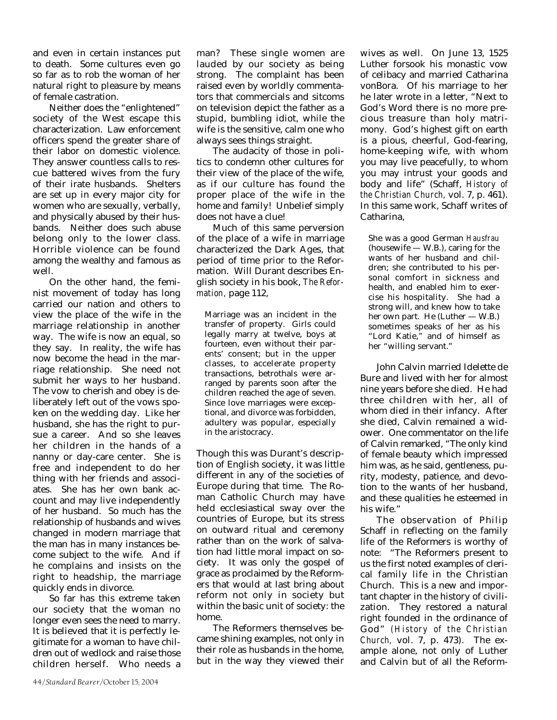and even in certain instances put to death. Some cultures even go so far as to rob the woman of her natural right to pleasure by means of female castration.

Neither does the "enlightened" society of the West escape this characterization. Law enforcement officers spend the greater share of their labor on domestic violence. They answer countless calls to rescue battered wives from the fury of their irate husbands. Shelters are set up in every major city for women who are sexually, verbally, and physically abused by their husbands. Neither does such abuse belong only to the lower class. Horrible violence can be found among the wealthy and famous as well.

On the other hand, the feminist movement of today has long carried our nation and others to view the place of the wife in the marriage relationship in another way. The wife is now an equal, so they say. In reality, the wife has now become the head in the marriage relationship. She need not submit her ways to her husband. The vow to cherish and obey is deliberately left out of the vows spoken on the wedding day. Like her husband, she has the right to pursue a career. And so she leaves her children in the hands of a nanny or day-care center. She is free and independent to do her thing with her friends and associates. She has her own bank account and may live independently of her husband. So much has the relationship of husbands and wives changed in modern marriage that the man has in many instances become subject to the wife. And if he complains and insists on the right to headship, the marriage quickly ends in divorce.

So far has this extreme taken our society that the woman no longer even sees the need to marry. It is believed that it is perfectly legitimate for a woman to have children out of wedlock and raise those children herself. Who needs a

man? These single women are lauded by our society as being strong. The complaint has been raised even by worldly commentators that commercials and sitcoms on television depict the father as a stupid, bumbling idiot, while the wife is the sensitive, calm one who always sees things straight.

The audacity of those in politics to condemn other cultures for their view of the place of the wife, as if our culture has found the proper place of the wife in the home and family! Unbelief simply does not have a clue!

Much of this same perversion of the place of a wife in marriage characterized the Dark Ages, that period of time prior to the Reformation. Will Durant describes English society in his book, *The Reformation,* page 112,

Marriage was an incident in the transfer of property. Girls could legally marry at twelve, boys at fourteen, even without their parents' consent; but in the upper classes, to accelerate property transactions, betrothals were arranged by parents soon after the children reached the age of seven. Since love marriages were exceptional, and divorce was forbidden, adultery was popular, especially in the aristocracy.

Though this was Durant's description of English society, it was little different in any of the societies of Europe during that time. The Roman Catholic Church may have held ecclesiastical sway over the countries of Europe, but its stress on outward ritual and ceremony rather than on the work of salvation had little moral impact on society. It was only the gospel of grace as proclaimed by the Reformers that would at last bring about reform not only in society but within the basic unit of society: the home.

The Reformers themselves became shining examples, not only in their role as husbands in the home, but in the way they viewed their

wives as well. On June 13, 1525 Luther forsook his monastic vow of celibacy and married Catharina vonBora. Of his marriage to her he later wrote in a letter, "Next to God's Word there is no more precious treasure than holy matrimony. God's highest gift on earth is a pious, cheerful, God-fearing, home-keeping wife, with whom you may live peacefully, to whom you may intrust your goods and body and life" (Schaff, *History of the Christian Church,* vol. 7, p. 461). In this same work, Schaff writes of Catharina,

She was a good German *Hausfrau* (housewife — W.B.), caring for the wants of her husband and children; she contributed to his personal comfort in sickness and health, and enabled him to exercise his hospitality. She had a strong will, and knew how to take her own part. He (Luther — W.B.) sometimes speaks of her as his "Lord Katie," and of himself as her "willing servant."

John Calvin married Idelette de Bure and lived with her for almost nine years before she died. He had three children with her, all of whom died in their infancy. After she died, Calvin remained a widower. One commentator on the life of Calvin remarked, "The only kind of female beauty which impressed him was, as he said, gentleness, purity, modesty, patience, and devotion to the wants of her husband, and these qualities he esteemed in his wife."

The observation of Philip Schaff in reflecting on the family life of the Reformers is worthy of note: "The Reformers present to us the first noted examples of clerical family life in the Christian Church. This is a new and important chapter in the history of civilization. They restored a natural right founded in the ordinance of God" *(History of the Christian Church,* vol. 7, p. 473). The example alone, not only of Luther and Calvin but of all the Reform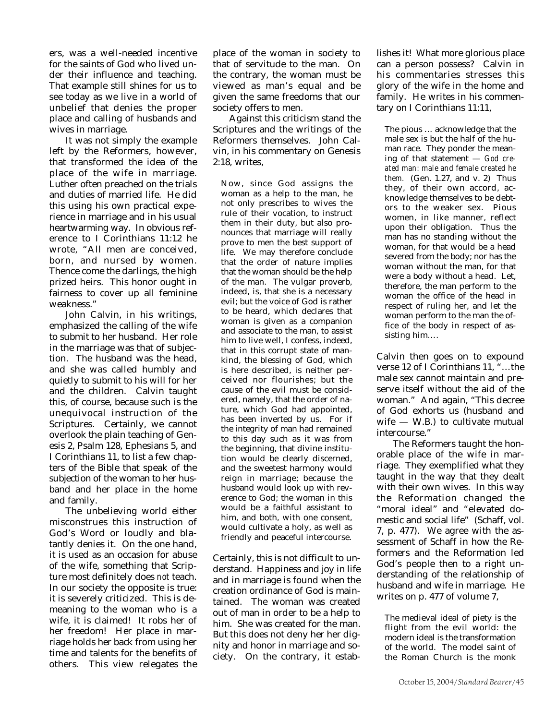ers, was a well-needed incentive for the saints of God who lived under their influence and teaching. That example still shines for us to see today as we live in a world of unbelief that denies the proper place and calling of husbands and wives in marriage.

It was not simply the example left by the Reformers, however, that transformed the idea of the place of the wife in marriage. Luther often preached on the trials and duties of married life. He did this using his own practical experience in marriage and in his usual heartwarming way. In obvious reference to I Corinthians 11:12 he wrote, "All men are conceived, born, and nursed by women. Thence come the darlings, the high prized heirs. This honor ought in fairness to cover up all feminine weakness."

John Calvin, in his writings, emphasized the calling of the wife to submit to her husband. Her role in the marriage was that of subjection. The husband was the head, and she was called humbly and quietly to submit to his will for her and the children. Calvin taught this, of course, because such is the unequivocal instruction of the Scriptures. Certainly, we cannot overlook the plain teaching of Genesis 2, Psalm 128, Ephesians 5, and I Corinthians 11, to list a few chapters of the Bible that speak of the subjection of the woman to her husband and her place in the home and family.

The unbelieving world either misconstrues this instruction of God's Word or loudly and blatantly denies it. On the one hand, it is used as an occasion for abuse of the wife, something that Scripture most definitely does *not* teach. In our society the opposite is true: it is severely criticized. This is demeaning to the woman who is a wife, it is claimed! It robs her of her freedom! Her place in marriage holds her back from using her time and talents for the benefits of others. This view relegates the

place of the woman in society to that of servitude to the man. On the contrary, the woman must be viewed as man's equal and be given the same freedoms that our society offers to men.

Against this criticism stand the Scriptures and the writings of the Reformers themselves. John Calvin, in his commentary on Genesis 2:18, writes,

Now, since God assigns the woman as a help to the man, he not only prescribes to wives the rule of their vocation, to instruct them in their duty, but also pronounces that marriage will really prove to men the best support of life. We may therefore conclude that the order of nature implies that the woman should be the help of the man. The vulgar proverb, indeed, is, that she is a necessary evil; but the voice of God is rather to be heard, which declares that woman is given as a companion and associate to the man, to assist him to live well, I confess, indeed, that in this corrupt state of mankind, the blessing of God, which is here described, is neither perceived nor flourishes; but the cause of the evil must be considered, namely, that the order of nature, which God had appointed, has been inverted by us. For if the integrity of man had remained to this day such as it was from the beginning, that divine institution would be clearly discerned, and the sweetest harmony would reign in marriage; because the husband would look up with reverence to God; the woman in this would be a faithful assistant to him, and both, with one consent, would cultivate a holy, as well as friendly and peaceful intercourse.

Certainly, this is not difficult to understand. Happiness and joy in life and in marriage is found when the creation ordinance of God is maintained. The woman was created out of man in order to be a help to him. She was created for the man. But this does not deny her her dignity and honor in marriage and society. On the contrary, it establishes it! What more glorious place can a person possess? Calvin in his commentaries stresses this glory of the wife in the home and family. He writes in his commentary on I Corinthians 11:11,

The pious … acknowledge that the male sex is but the half of the human race. They ponder the meaning of that statement — *God created man: male and female created he them.* (Gen. 1.27, and v. 2) Thus they, of their own accord, acknowledge themselves to be debtors to the weaker sex. Pious women, in like manner, reflect upon their obligation. Thus the man has no standing without the woman, for that would be a head severed from the body; nor has the woman without the man, for that were a body without a head. Let, therefore, the man perform to the woman the office of the head in respect of ruling her, and let the woman perform to the man the office of the body in respect of assisting him….

Calvin then goes on to expound verse 12 of I Corinthians 11, "…the male sex cannot maintain and preserve itself without the aid of the woman." And again, "This decree of God exhorts us (husband and wife  $-$  W.B.) to cultivate mutual intercourse."

The Reformers taught the honorable place of the wife in marriage. They exemplified what they taught in the way that they dealt with their own wives. In this way the Reformation changed the "moral ideal" and "elevated domestic and social life" (Schaff, vol. 7, p. 477). We agree with the assessment of Schaff in how the Reformers and the Reformation led God's people then to a right understanding of the relationship of husband and wife in marriage. He writes on p. 477 of volume 7,

The medieval ideal of piety is the flight from the evil world: the modern ideal is the transformation of the world. The model saint of the Roman Church is the monk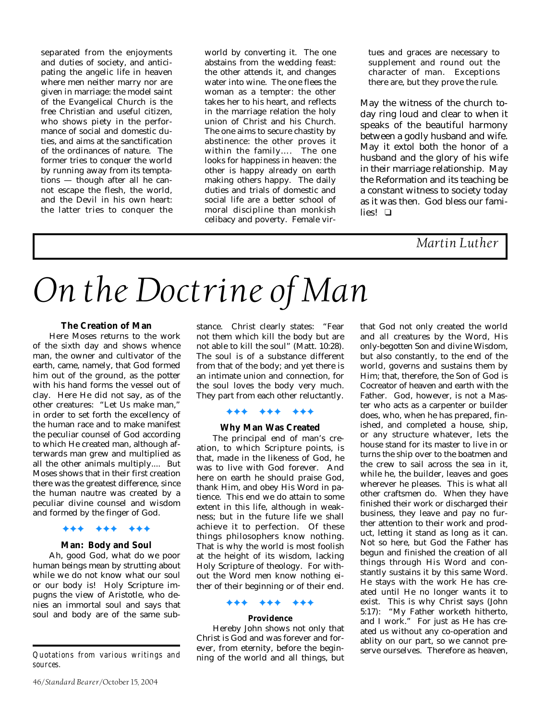separated from the enjoyments and duties of society, and anticipating the angelic life in heaven where men neither marry nor are given in marriage: the model saint of the Evangelical Church is the free Christian and useful citizen, who shows piety in the performance of social and domestic duties, and aims at the sanctification of the ordinances of nature. The former tries to conquer the world by running away from its temptations — though after all he cannot escape the flesh, the world, and the Devil in his own heart: the latter tries to conquer the

world by converting it. The one abstains from the wedding feast: the other attends it, and changes water into wine. The one flees the woman as a tempter: the other takes her to his heart, and reflects in the marriage relation the holy union of Christ and his Church. The one aims to secure chastity by abstinence: the other proves it within the family…. The one looks for happiness in heaven: the other is happy already on earth making others happy. The daily duties and trials of domestic and social life are a better school of moral discipline than monkish celibacy and poverty. Female vir-

tues and graces are necessary to supplement and round out the character of man. Exceptions there are, but they prove the rule.

May the witness of the church today ring loud and clear to when it speaks of the beautiful harmony between a godly husband and wife. May it extol both the honor of a husband and the glory of his wife in their marriage relationship. May the Reformation and its teaching be a constant witness to society today as it was then. God bless our families! ❑

*Martin Luther*

# *On the Doctrine of Man*

#### **The Creation of Man**

Here Moses returns to the work of the sixth day and shows whence man, the owner and cultivator of the earth, came, namely, that God formed him out of the ground, as the potter with his hand forms the vessel out of clay. Here He did not say, as of the other creatures: "Let Us make man," in order to set forth the excellency of the human race and to make manifest the peculiar counsel of God according to which He created man, although afterwards man grew and multiplied as all the other animals multiply.... But Moses shows that in their first creation there was the greatest difference, since the human nautre was created by a peculiar divine counsel and wisdom and formed by the finger of God.

#### ✦✦✦ ✦✦✦ ✦✦✦

#### **Man: Body and Soul**

Ah, good God, what do we poor human beings mean by strutting about while we do not know what our soul or our body is! Holy Scripture impugns the view of Aristotle, who denies an immortal soul and says that soul and body are of the same substance. Christ clearly states: "Fear not them which kill the body but are not able to kill the soul" (Matt. 10:28). The soul is of a substance different from that of the body; and yet there is an intimate union and connection, for the soul loves the body very much. They part from each other reluctantly.

#### ✦✦✦ ✦✦✦ ✦✦✦

#### **Why Man Was Created**

The principal end of man's creation, to which Scripture points, is that, made in the likeness of God, he was to live with God forever. And here on earth he should praise God, thank Him, and obey His Word in patience. This end we do attain to some extent in this life, although in weakness; but in the future life we shall achieve it to perfection. Of these things philosophers know nothing. That is why the world is most foolish at the height of its wisdom, lacking Holy Scripture of theology. For without the Word men know nothing either of their beginning or of their end.

#### ✦✦✦ ✦✦✦ ✦✦✦

#### **Providence**

Hereby John shows not only that Christ is God and was forever and forever, from eternity, before the beginning of the world and all things, but that God not only created the world and all creatures by the Word, His only-begotten Son and divine Wisdom, but also constantly, to the end of the world, governs and sustains them by Him; that, therefore, the Son of God is Cocreator of heaven and earth with the Father. God, however, is not a Master who acts as a carpenter or builder does, who, when he has prepared, finished, and completed a house, ship, or any structure whatever, lets the house stand for its master to live in or turns the ship over to the boatmen and the crew to sail across the sea in it, while he, the builder, leaves and goes wherever he pleases. This is what all other craftsmen do. When they have finished their work or discharged their business, they leave and pay no further attention to their work and product, letting it stand as long as it can. Not so here, but God the Father has begun and finished the creation of all things through His Word and constantly sustains it by this same Word. He stays with the work He has created until He no longer wants it to exist. This is why Christ says (John 5:17): "My Father worketh hitherto, and I work." For just as He has created us without any co-operation and ablity on our part, so we cannot preserve ourselves. Therefore as heaven,

*Quotations from various writings and sources.*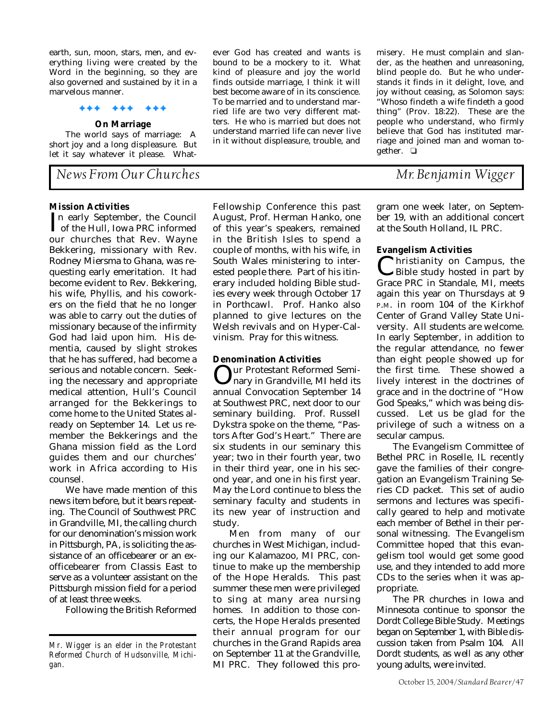earth, sun, moon, stars, men, and everything living were created by the Word in the beginning, so they are also governed and sustained by it in a marvelous manner.

#### ✦✦✦ ✦✦✦ ✦✦✦

#### **On Marriage**

The world says of marriage: A short joy and a long displeasure. But let it say whatever it please. What-

*News From Our Churches Mr. Benjamin Wigger*

#### **Mission Activities**

In early September, the Council<br>of the Hull, Iowa PRC informed of the Hull, Iowa PRC informed our churches that Rev. Wayne Bekkering, missionary with Rev. Rodney Miersma to Ghana, was requesting early emeritation. It had become evident to Rev. Bekkering, his wife, Phyllis, and his coworkers on the field that he no longer was able to carry out the duties of missionary because of the infirmity God had laid upon him. His dementia, caused by slight strokes that he has suffered, had become a serious and notable concern. Seeking the necessary and appropriate medical attention, Hull's Council arranged for the Bekkerings to come home to the United States already on September 14. Let us remember the Bekkerings and the Ghana mission field as the Lord guides them and our churches' work in Africa according to His counsel.

We have made mention of this news item before, but it bears repeating. The Council of Southwest PRC in Grandville, MI, the calling church for our denomination's mission work in Pittsburgh, PA, is soliciting the assistance of an officebearer or an exofficebearer from Classis East to serve as a volunteer assistant on the Pittsburgh mission field for a period of at least three weeks.

Following the British Reformed

ever God has created and wants is bound to be a mockery to it. What kind of pleasure and joy the world finds outside marriage, I think it will best become aware of in its conscience. To be married and to understand married life are two very different matters. He who is married but does not understand married life can never live in it without displeasure, trouble, and

misery. He must complain and slander, as the heathen and unreasoning, blind people do. But he who understands it finds in it delight, love, and joy without ceasing, as Solomon says: "Whoso findeth a wife findeth a good thing" (Prov. 18:22). These are the people who understand, who firmly believe that God has instituted marriage and joined man and woman together. ❑

gram one week later, on September 19, with an additional concert at the South Holland, IL PRC.

#### **Evangelism Activities**

Christianity on Campus, the<br>Bible study hosted in part by Grace PRC in Standale, MI, meets again this year on Thursdays at 9 P.M. in room 104 of the Kirkhof Center of Grand Valley State University. All students are welcome. In early September, in addition to the regular attendance, no fewer than eight people showed up for the first time. These showed a lively interest in the doctrines of grace and in the doctrine of "How God Speaks," which was being discussed. Let us be glad for the privilege of such a witness on a secular campus.

The Evangelism Committee of Bethel PRC in Roselle, IL recently gave the families of their congregation an Evangelism Training Series CD packet. This set of audio sermons and lectures was specifically geared to help and motivate each member of Bethel in their personal witnessing. The Evangelism Committee hoped that this evangelism tool would get some good use, and they intended to add more CDs to the series when it was appropriate.

The PR churches in Iowa and Minnesota continue to sponsor the Dordt College Bible Study. Meetings began on September 1, with Bible discussion taken from Psalm 104. All Dordt students, as well as any other young adults, were invited.

Fellowship Conference this past August, Prof. Herman Hanko, one of this year's speakers, remained in the British Isles to spend a couple of months, with his wife, in South Wales ministering to interested people there. Part of his itinerary included holding Bible studies every week through October 17 in Porthcawl. Prof. Hanko also planned to give lectures on the Welsh revivals and on Hyper-Calvinism. Pray for this witness.

#### **Denomination Activities**

Our Protestant Reformed Seminary in Grandville, MI held its annual Convocation September 14 at Southwest PRC, next door to our seminary building. Prof. Russell Dykstra spoke on the theme, "Pastors After God's Heart." There are six students in our seminary this year; two in their fourth year, two in their third year, one in his second year, and one in his first year. May the Lord continue to bless the seminary faculty and students in its new year of instruction and study.

Men from many of our churches in West Michigan, including our Kalamazoo, MI PRC, continue to make up the membership of the Hope Heralds. This past summer these men were privileged to sing at many area nursing homes. In addition to those concerts, the Hope Heralds presented their annual program for our churches in the Grand Rapids area on September 11 at the Grandville, MI PRC. They followed this pro-

*Mr. Wigger is an elder in the Protestant Reformed Church of Hudsonville, Michigan.*